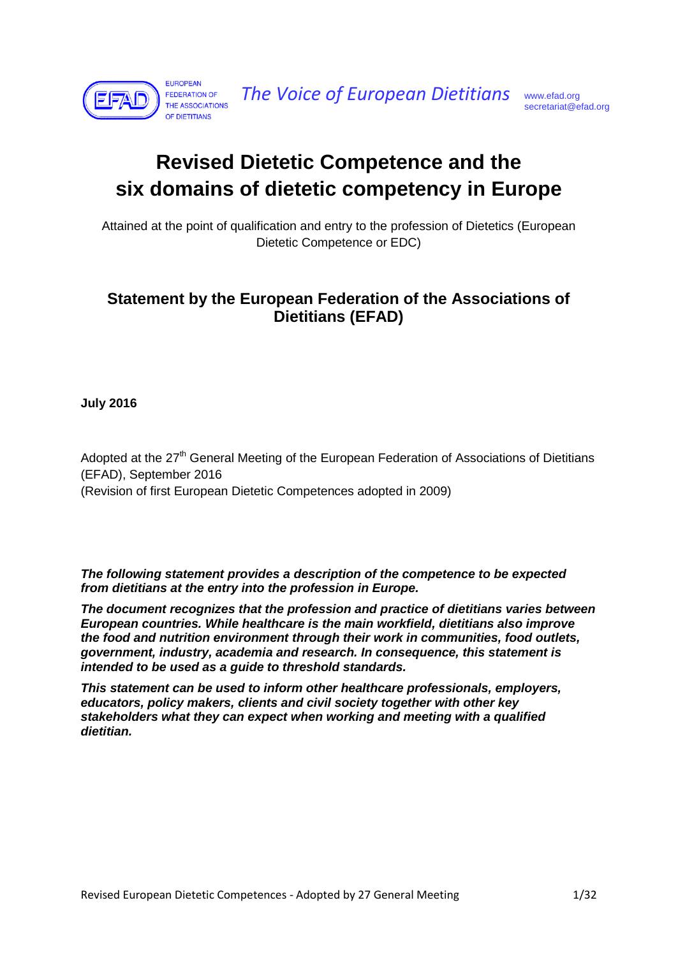

*The Voice of European Dietitians* [www.efad.org](http://www.efad.org/)

# **Revised Dietetic Competence and the six domains of dietetic competency in Europe**

Attained at the point of qualification and entry to the profession of Dietetics (European Dietetic Competence or EDC)

### **Statement by the European Federation of the Associations of Dietitians (EFAD)**

**July 2016**

Adopted at the  $27<sup>th</sup>$  General Meeting of the European Federation of Associations of Dietitians (EFAD), September 2016 (Revision of first European Dietetic Competences adopted in 2009)

*The following statement provides a description of the competence to be expected from dietitians at the entry into the profession in Europe.*

*The document recognizes that the profession and practice of dietitians varies between European countries. While healthcare is the main workfield, dietitians also improve the food and nutrition environment through their work in communities, food outlets, government, industry, academia and research. In consequence, this statement is intended to be used as a guide to threshold standards.* 

*This statement can be used to inform other healthcare professionals, employers, educators, policy makers, clients and civil society together with other key stakeholders what they can expect when working and meeting with a qualified dietitian.*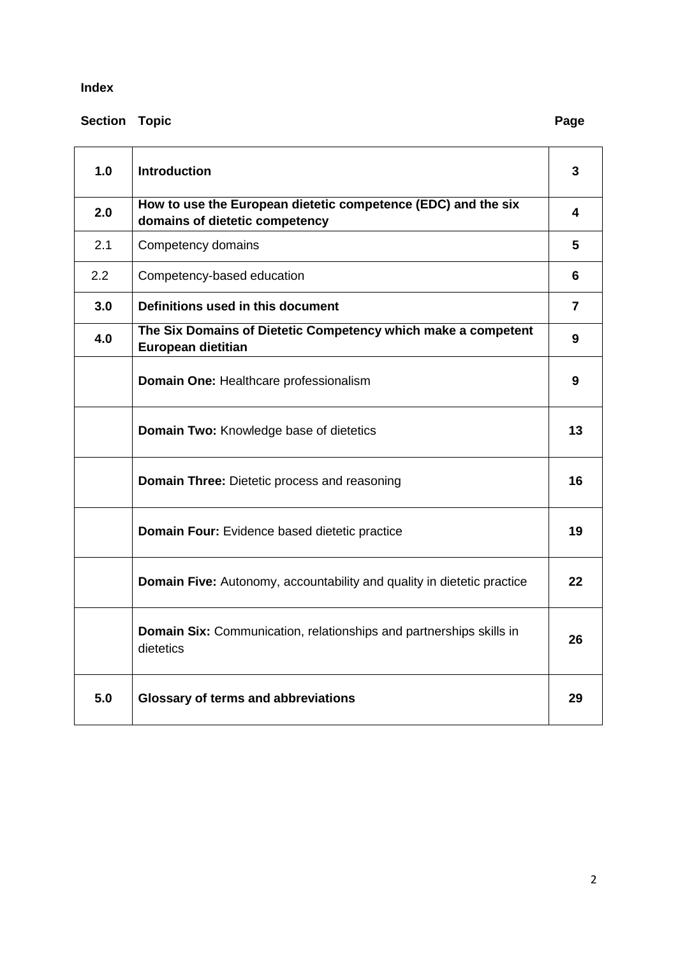#### **Index**

## **Section Topic Page**

| 1.0 | <b>Introduction</b>                                                                             | 3  |
|-----|-------------------------------------------------------------------------------------------------|----|
| 2.0 | How to use the European dietetic competence (EDC) and the six<br>domains of dietetic competency | 4  |
| 2.1 | Competency domains                                                                              | 5  |
| 2.2 | Competency-based education                                                                      | 6  |
| 3.0 | Definitions used in this document                                                               | 7  |
| 4.0 | The Six Domains of Dietetic Competency which make a competent<br>European dietitian             | 9  |
|     | Domain One: Healthcare professionalism                                                          | 9  |
|     | Domain Two: Knowledge base of dietetics                                                         | 13 |
|     | <b>Domain Three:</b> Dietetic process and reasoning                                             | 16 |
|     | Domain Four: Evidence based dietetic practice                                                   | 19 |
|     | <b>Domain Five:</b> Autonomy, accountability and quality in dietetic practice                   | 22 |
|     | <b>Domain Six:</b> Communication, relationships and partnerships skills in<br>dietetics         | 26 |
| 5.0 | <b>Glossary of terms and abbreviations</b>                                                      | 29 |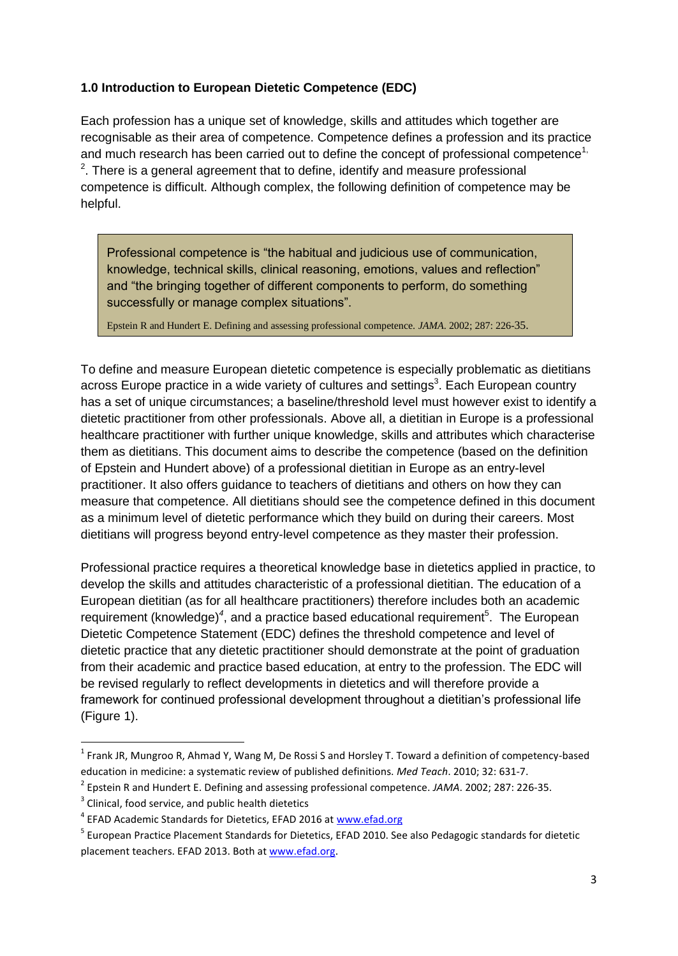#### **1.0 Introduction to European Dietetic Competence (EDC)**

Each profession has a unique set of knowledge, skills and attitudes which together are recognisable as their area of competence. Competence defines a profession and its practice and much research has been carried out to define the concept of professional competence<sup>1,</sup>  $2$ . There is a general agreement that to define, identify and measure professional competence is difficult. Although complex, the following definition of competence may be helpful.

Professional competence is "the habitual and judicious use of communication, knowledge, technical skills, clinical reasoning, emotions, values and reflection" and "the bringing together of different components to perform, do something successfully or manage complex situations".

Epstein R and Hundert E. Defining and assessing professional competence. *JAMA*. 2002; 287: 226-35.

To define and measure European dietetic competence is especially problematic as dietitians across Europe practice in a wide variety of cultures and settings<sup>3</sup>. Each European country has a set of unique circumstances; a baseline/threshold level must however exist to identify a dietetic practitioner from other professionals. Above all, a dietitian in Europe is a professional healthcare practitioner with further unique knowledge, skills and attributes which characterise them as dietitians. This document aims to describe the competence (based on the definition of Epstein and Hundert above) of a professional dietitian in Europe as an entry-level practitioner. It also offers guidance to teachers of dietitians and others on how they can measure that competence. All dietitians should see the competence defined in this document as a minimum level of dietetic performance which they build on during their careers. Most dietitians will progress beyond entry-level competence as they master their profession.

Professional practice requires a theoretical knowledge base in dietetics applied in practice, to develop the skills and attitudes characteristic of a professional dietitian. The education of a European dietitian (as for all healthcare practitioners) therefore includes both an academic requirement (knowledge)<sup>4</sup>, and a practice based educational requirement<sup>5</sup>. The European Dietetic Competence Statement (EDC) defines the threshold competence and level of dietetic practice that any dietetic practitioner should demonstrate at the point of graduation from their academic and practice based education, at entry to the profession. The EDC will be revised regularly to reflect developments in dietetics and will therefore provide a framework for continued professional development throughout a dietitian"s professional life (Figure 1).

 $\overline{\phantom{a}}$ 

<sup>&</sup>lt;sup>1</sup> Frank JR, Mungroo R, Ahmad Y, Wang M, De Rossi S and Horsley T. Toward a definition of competency-based education in medicine: a systematic review of published definitions. *Med Teach*. 2010; 32: 631-7.

<sup>2</sup> Epstein R and Hundert E. Defining and assessing professional competence. *JAMA*. 2002; 287: 226-35.

 $3$  Clinical, food service, and public health dietetics

<sup>&</sup>lt;sup>4</sup> EFAD Academic Standards for Dietetics, EFAD 2016 at [www.efad.org](http://www.efad.org/)

<sup>&</sup>lt;sup>5</sup> European Practice Placement Standards for Dietetics, EFAD 2010. See also Pedagogic standards for dietetic placement teachers. EFAD 2013. Both at [www.efad.org.](http://www.efad.org/)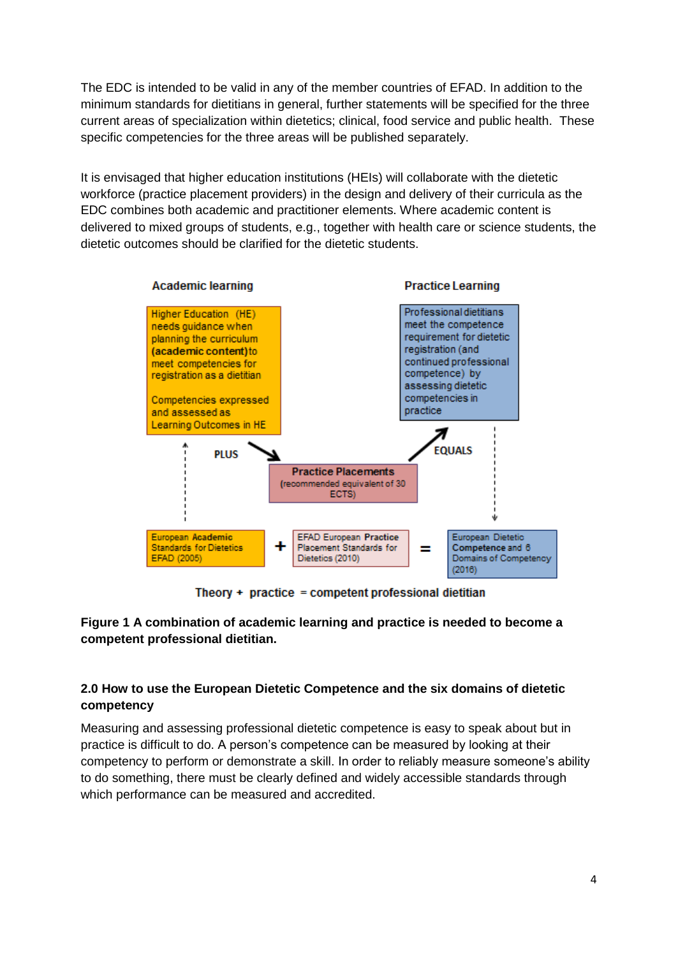The EDC is intended to be valid in any of the member countries of EFAD. In addition to the minimum standards for dietitians in general, further statements will be specified for the three current areas of specialization within dietetics; clinical, food service and public health. These specific competencies for the three areas will be published separately.

It is envisaged that higher education institutions (HEIs) will collaborate with the dietetic workforce (practice placement providers) in the design and delivery of their curricula as the EDC combines both academic and practitioner elements. Where academic content is delivered to mixed groups of students, e.g., together with health care or science students, the dietetic outcomes should be clarified for the dietetic students.



Theory + practice = competent professional dietitian

#### **Figure 1 A combination of academic learning and practice is needed to become a competent professional dietitian.**

#### **2.0 How to use the European Dietetic Competence and the six domains of dietetic competency**

Measuring and assessing professional dietetic competence is easy to speak about but in practice is difficult to do. A person"s competence can be measured by looking at their competency to perform or demonstrate a skill. In order to reliably measure someone"s ability to do something, there must be clearly defined and widely accessible standards through which performance can be measured and accredited.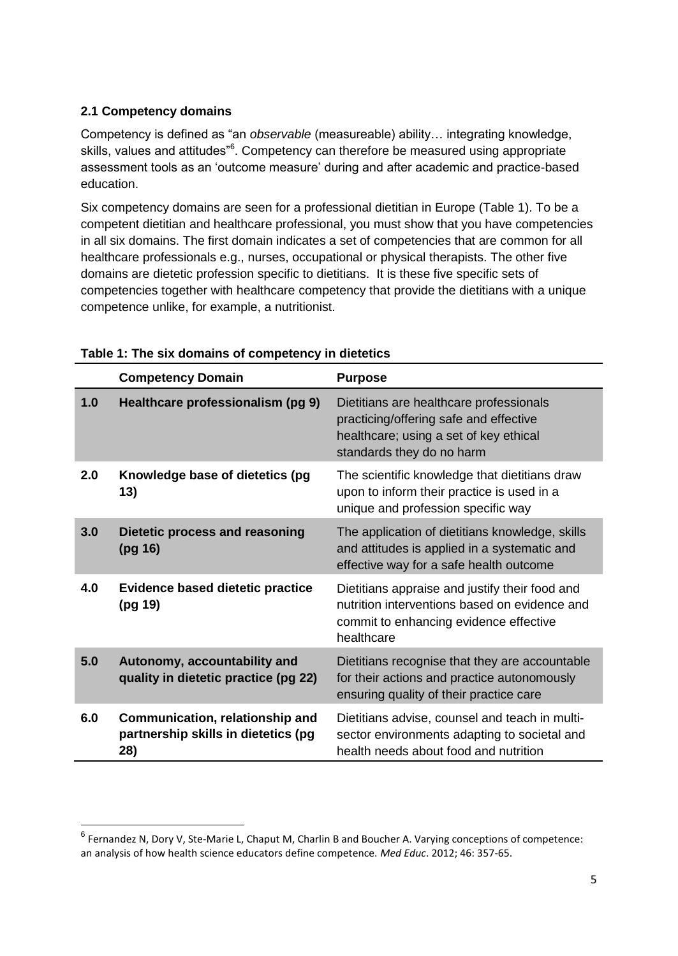#### **2.1 Competency domains**

 $\overline{\phantom{a}}$ 

Competency is defined as "an *observable* (measureable) ability… integrating knowledge, skills, values and attitudes"<sup>6</sup>. Competency can therefore be measured using appropriate assessment tools as an "outcome measure" during and after academic and practice-based education.

Six competency domains are seen for a professional dietitian in Europe (Table 1). To be a competent dietitian and healthcare professional, you must show that you have competencies in all six domains. The first domain indicates a set of competencies that are common for all healthcare professionals e.g., nurses, occupational or physical therapists. The other five domains are dietetic profession specific to dietitians. It is these five specific sets of competencies together with healthcare competency that provide the dietitians with a unique competence unlike, for example, a nutritionist.

|     | <b>Competency Domain</b>                                                      | <b>Purpose</b>                                                                                                                                           |
|-----|-------------------------------------------------------------------------------|----------------------------------------------------------------------------------------------------------------------------------------------------------|
| 1.0 | Healthcare professionalism (pg 9)                                             | Dietitians are healthcare professionals<br>practicing/offering safe and effective<br>healthcare; using a set of key ethical<br>standards they do no harm |
| 2.0 | Knowledge base of dietetics (pg<br>13)                                        | The scientific knowledge that dietitians draw<br>upon to inform their practice is used in a<br>unique and profession specific way                        |
| 3.0 | Dietetic process and reasoning<br>(pg 16)                                     | The application of dietitians knowledge, skills<br>and attitudes is applied in a systematic and<br>effective way for a safe health outcome               |
| 4.0 | <b>Evidence based dietetic practice</b><br>(pg 19)                            | Dietitians appraise and justify their food and<br>nutrition interventions based on evidence and<br>commit to enhancing evidence effective<br>healthcare  |
| 5.0 | Autonomy, accountability and<br>quality in dietetic practice (pg 22)          | Dietitians recognise that they are accountable<br>for their actions and practice autonomously<br>ensuring quality of their practice care                 |
| 6.0 | Communication, relationship and<br>partnership skills in dietetics (pg<br>28) | Dietitians advise, counsel and teach in multi-<br>sector environments adapting to societal and<br>health needs about food and nutrition                  |

#### **Table 1: The six domains of competency in dietetics**

<sup>&</sup>lt;sup>6</sup> Fernandez N, Dory V, Ste-Marie L, Chaput M, Charlin B and Boucher A. Varying conceptions of competence: an analysis of how health science educators define competence. *Med Educ*. 2012; 46: 357-65.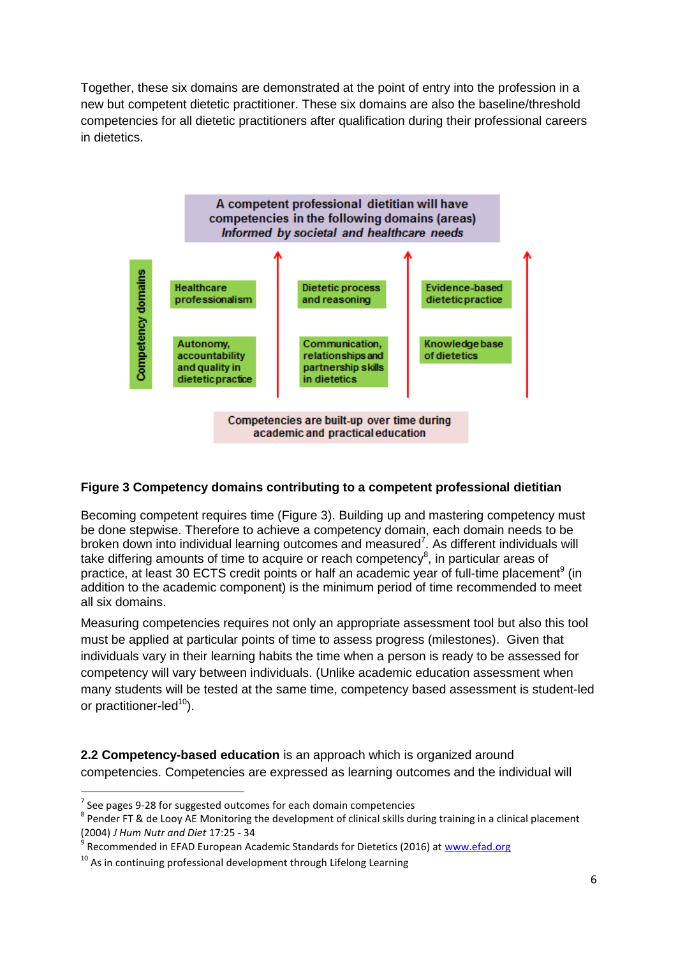Together, these six domains are demonstrated at the point of entry into the profession in a new but competent dietetic practitioner. These six domains are also the baseline/threshold competencies for all dietetic practitioners after qualification during their professional careers in dietetics.



#### **Figure 3 Competency domains contributing to a competent professional dietitian**

Becoming competent requires time (Figure 3). Building up and mastering competency must be done stepwise. Therefore to achieve a competency domain, each domain needs to be broken down into individual learning outcomes and measured<sup>7</sup>. As different individuals will take differing amounts of time to acquire or reach competency<sup>8</sup>, in particular areas of practice, at least 30 ECTS credit points or half an academic year of full-time placement<sup>9</sup> (in addition to the academic component) is the minimum period of time recommended to meet all six domains.

Measuring competencies requires not only an appropriate assessment tool but also this tool must be applied at particular points of time to assess progress (milestones). Given that individuals vary in their learning habits the time when a person is ready to be assessed for competency will vary between individuals. (Unlike academic education assessment when many students will be tested at the same time, competency based assessment is student-led or practitioner-led $10$ .

**2.2 Competency-based education** is an approach which is organized around competencies. Competencies are expressed as learning outcomes and the individual will

 $\overline{\phantom{a}}$ 

 $^7$  See pages 9-28 for suggested outcomes for each domain competencies

 $^8$  Pender FT & de Looy AE Monitoring the development of clinical skills during training in a clinical placement (2004) *J Hum Nutr and Diet* 17:25 - 34

<sup>9</sup> Recommended in EFAD European Academic Standards for Dietetics (2016) at [www.efad.org](http://www.efad.org/)

 $10$  As in continuing professional development through Lifelong Learning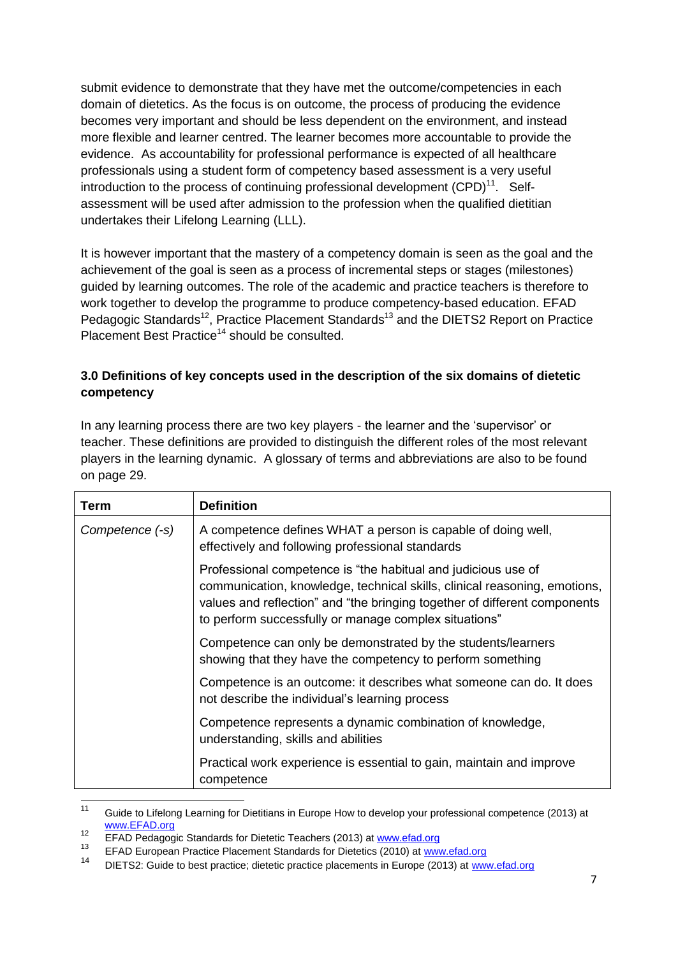submit evidence to demonstrate that they have met the outcome/competencies in each domain of dietetics. As the focus is on outcome, the process of producing the evidence becomes very important and should be less dependent on the environment, and instead more flexible and learner centred. The learner becomes more accountable to provide the evidence. As accountability for professional performance is expected of all healthcare professionals using a student form of competency based assessment is a very useful introduction to the process of continuing professional development  $(CPD)^{11}$ . Selfassessment will be used after admission to the profession when the qualified dietitian undertakes their Lifelong Learning (LLL).

It is however important that the mastery of a competency domain is seen as the goal and the achievement of the goal is seen as a process of incremental steps or stages (milestones) guided by learning outcomes. The role of the academic and practice teachers is therefore to work together to develop the programme to produce competency-based education. EFAD Pedagogic Standards<sup>12</sup>, Practice Placement Standards<sup>13</sup> and the DIETS2 Report on Practice Placement Best Practice<sup>14</sup> should be consulted.

#### **3.0 Definitions of key concepts used in the description of the six domains of dietetic competency**

In any learning process there are two key players - the learner and the "supervisor" or teacher. These definitions are provided to distinguish the different roles of the most relevant players in the learning dynamic. A glossary of terms and abbreviations are also to be found on page 29.

| Term            | <b>Definition</b>                                                                                                                                                                                                                                                                |
|-----------------|----------------------------------------------------------------------------------------------------------------------------------------------------------------------------------------------------------------------------------------------------------------------------------|
| Competence (-s) | A competence defines WHAT a person is capable of doing well,<br>effectively and following professional standards                                                                                                                                                                 |
|                 | Professional competence is "the habitual and judicious use of<br>communication, knowledge, technical skills, clinical reasoning, emotions,<br>values and reflection" and "the bringing together of different components<br>to perform successfully or manage complex situations" |
|                 | Competence can only be demonstrated by the students/learners<br>showing that they have the competency to perform something                                                                                                                                                       |
|                 | Competence is an outcome: it describes what someone can do. It does<br>not describe the individual's learning process                                                                                                                                                            |
|                 | Competence represents a dynamic combination of knowledge,<br>understanding, skills and abilities                                                                                                                                                                                 |
|                 | Practical work experience is essential to gain, maintain and improve<br>competence                                                                                                                                                                                               |

 $11$ Guide to Lifelong Learning for Dietitians in Europe How to develop your professional competence (2013) at [www.EFAD.org](http://www.efad.org/)

<sup>12</sup> EFAD Pedagogic Standards for Dietetic Teachers (2013) at [www.efad.org](http://www.efad.org/)<br>13 EFAD Pedagogic Standards for Dietectic Conductive (2013) at www.

<sup>13</sup> EFAD European Practice Placement Standards for Dietetics (2010) at [www.efad.org](http://www.efad.org/)

<sup>14</sup> DIETS2: Guide to best practice; dietetic practice placements in Europe (2013) at [www.efad.org](http://www.efad.org/)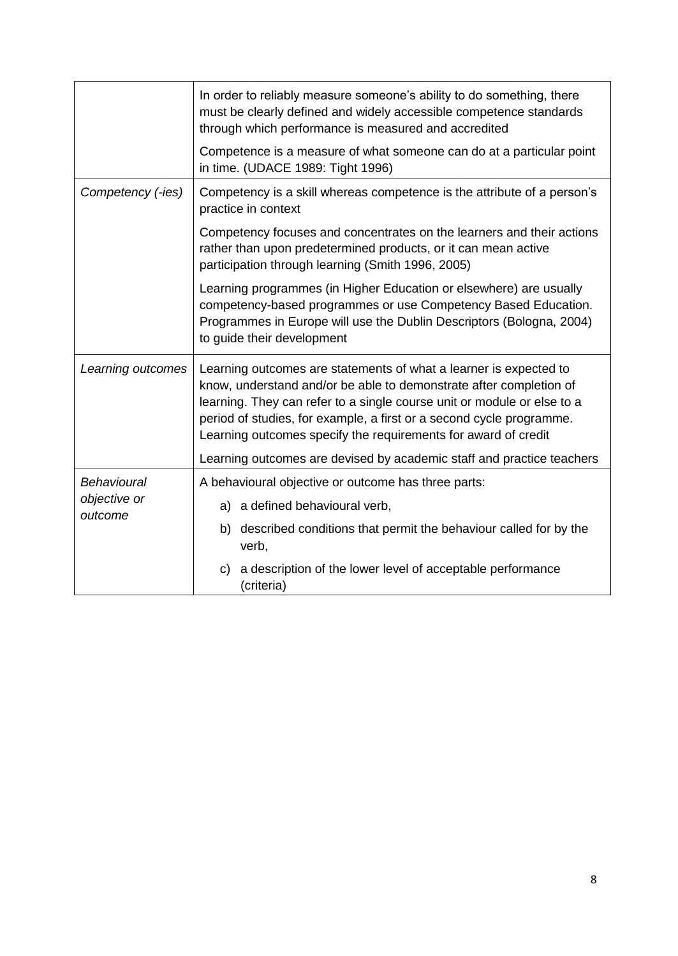|                         | In order to reliably measure someone's ability to do something, there<br>must be clearly defined and widely accessible competence standards                                                                                                                                                                                                                  |  |  |  |  |  |
|-------------------------|--------------------------------------------------------------------------------------------------------------------------------------------------------------------------------------------------------------------------------------------------------------------------------------------------------------------------------------------------------------|--|--|--|--|--|
|                         | through which performance is measured and accredited                                                                                                                                                                                                                                                                                                         |  |  |  |  |  |
|                         | Competence is a measure of what someone can do at a particular point<br>in time. (UDACE 1989: Tight 1996)                                                                                                                                                                                                                                                    |  |  |  |  |  |
| Competency (-ies)       | Competency is a skill whereas competence is the attribute of a person's<br>practice in context                                                                                                                                                                                                                                                               |  |  |  |  |  |
|                         | Competency focuses and concentrates on the learners and their actions<br>rather than upon predetermined products, or it can mean active<br>participation through learning (Smith 1996, 2005)                                                                                                                                                                 |  |  |  |  |  |
|                         | Learning programmes (in Higher Education or elsewhere) are usually<br>competency-based programmes or use Competency Based Education.<br>Programmes in Europe will use the Dublin Descriptors (Bologna, 2004)<br>to guide their development                                                                                                                   |  |  |  |  |  |
| Learning outcomes       | Learning outcomes are statements of what a learner is expected to<br>know, understand and/or be able to demonstrate after completion of<br>learning. They can refer to a single course unit or module or else to a<br>period of studies, for example, a first or a second cycle programme.<br>Learning outcomes specify the requirements for award of credit |  |  |  |  |  |
|                         | Learning outcomes are devised by academic staff and practice teachers                                                                                                                                                                                                                                                                                        |  |  |  |  |  |
| Behavioural             | A behavioural objective or outcome has three parts:                                                                                                                                                                                                                                                                                                          |  |  |  |  |  |
| objective or<br>outcome | a) a defined behavioural verb,                                                                                                                                                                                                                                                                                                                               |  |  |  |  |  |
|                         | b) described conditions that permit the behaviour called for by the<br>verb,                                                                                                                                                                                                                                                                                 |  |  |  |  |  |
|                         | a description of the lower level of acceptable performance<br>C)<br>(criteria)                                                                                                                                                                                                                                                                               |  |  |  |  |  |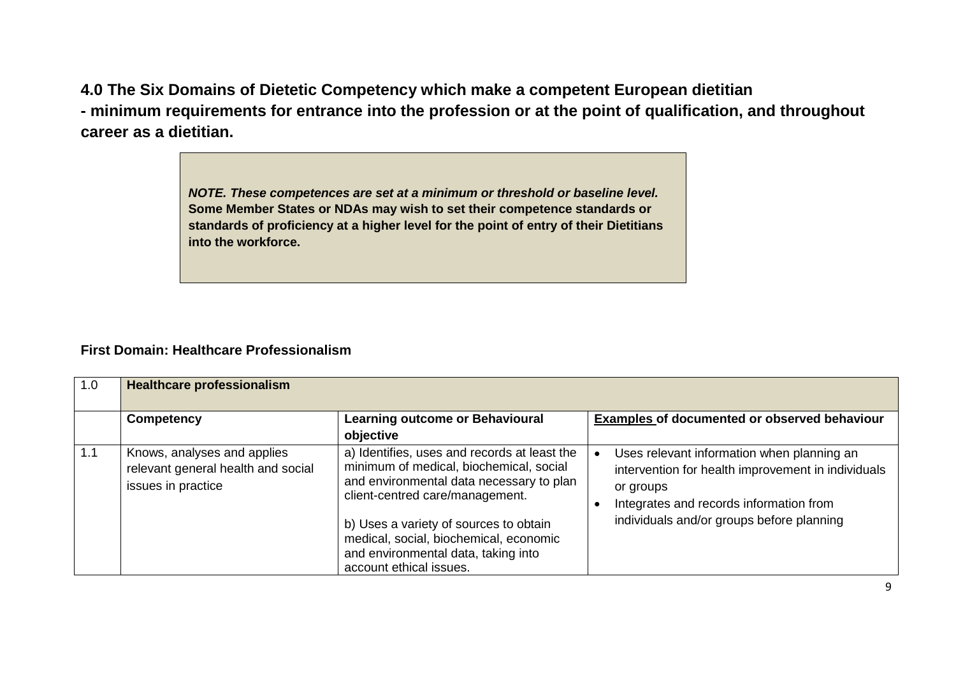**4.0 The Six Domains of Dietetic Competency which make a competent European dietitian - minimum requirements for entrance into the profession or at the point of qualification, and throughout career as a dietitian.**

> *NOTE. These competences are set at a minimum or threshold or baseline level.*  **Some Member States or NDAs may wish to set their competence standards or standards of proficiency at a higher level for the point of entry of their Dietitians into the workforce.**

#### **First Domain: Healthcare Professionalism**

| 1.0 | <b>Healthcare professionalism</b>                                                       |                                                                                                                                                                                                                                                                                                                              |                                                                                                                                                                                                                    |
|-----|-----------------------------------------------------------------------------------------|------------------------------------------------------------------------------------------------------------------------------------------------------------------------------------------------------------------------------------------------------------------------------------------------------------------------------|--------------------------------------------------------------------------------------------------------------------------------------------------------------------------------------------------------------------|
|     | <b>Competency</b>                                                                       | <b>Learning outcome or Behavioural</b><br>objective                                                                                                                                                                                                                                                                          | Examples of documented or observed behaviour                                                                                                                                                                       |
| 1.1 | Knows, analyses and applies<br>relevant general health and social<br>issues in practice | a) Identifies, uses and records at least the<br>minimum of medical, biochemical, social<br>and environmental data necessary to plan<br>client-centred care/management.<br>b) Uses a variety of sources to obtain<br>medical, social, biochemical, economic<br>and environmental data, taking into<br>account ethical issues. | Uses relevant information when planning an<br>$\bullet$<br>intervention for health improvement in individuals<br>or groups<br>Integrates and records information from<br>individuals and/or groups before planning |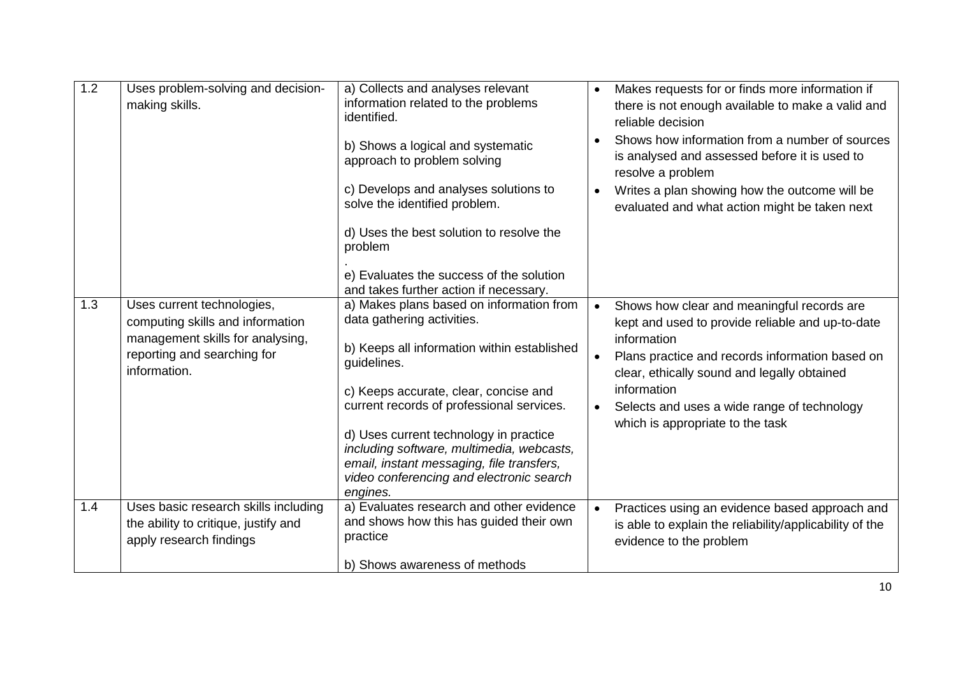| 1.2 | Uses problem-solving and decision-<br>making skills.                                                                                              | a) Collects and analyses relevant<br>information related to the problems<br>identified.<br>b) Shows a logical and systematic<br>approach to problem solving<br>c) Develops and analyses solutions to<br>solve the identified problem.<br>d) Uses the best solution to resolve the<br>problem<br>e) Evaluates the success of the solution<br>and takes further action if necessary.                                     | $\bullet$<br>$\bullet$ | Makes requests for or finds more information if<br>there is not enough available to make a valid and<br>reliable decision<br>Shows how information from a number of sources<br>is analysed and assessed before it is used to<br>resolve a problem<br>Writes a plan showing how the outcome will be<br>evaluated and what action might be taken next |
|-----|---------------------------------------------------------------------------------------------------------------------------------------------------|------------------------------------------------------------------------------------------------------------------------------------------------------------------------------------------------------------------------------------------------------------------------------------------------------------------------------------------------------------------------------------------------------------------------|------------------------|-----------------------------------------------------------------------------------------------------------------------------------------------------------------------------------------------------------------------------------------------------------------------------------------------------------------------------------------------------|
| 1.3 | Uses current technologies,<br>computing skills and information<br>management skills for analysing,<br>reporting and searching for<br>information. | a) Makes plans based on information from<br>data gathering activities.<br>b) Keeps all information within established<br>guidelines.<br>c) Keeps accurate, clear, concise and<br>current records of professional services.<br>d) Uses current technology in practice<br>including software, multimedia, webcasts,<br>email, instant messaging, file transfers,<br>video conferencing and electronic search<br>engines. | $\bullet$<br>$\bullet$ | Shows how clear and meaningful records are<br>kept and used to provide reliable and up-to-date<br>information<br>Plans practice and records information based on<br>clear, ethically sound and legally obtained<br>information<br>Selects and uses a wide range of technology<br>which is appropriate to the task                                   |
| 1.4 | Uses basic research skills including<br>the ability to critique, justify and<br>apply research findings                                           | a) Evaluates research and other evidence<br>and shows how this has guided their own<br>practice<br>b) Shows awareness of methods                                                                                                                                                                                                                                                                                       | $\bullet$              | Practices using an evidence based approach and<br>is able to explain the reliability/applicability of the<br>evidence to the problem                                                                                                                                                                                                                |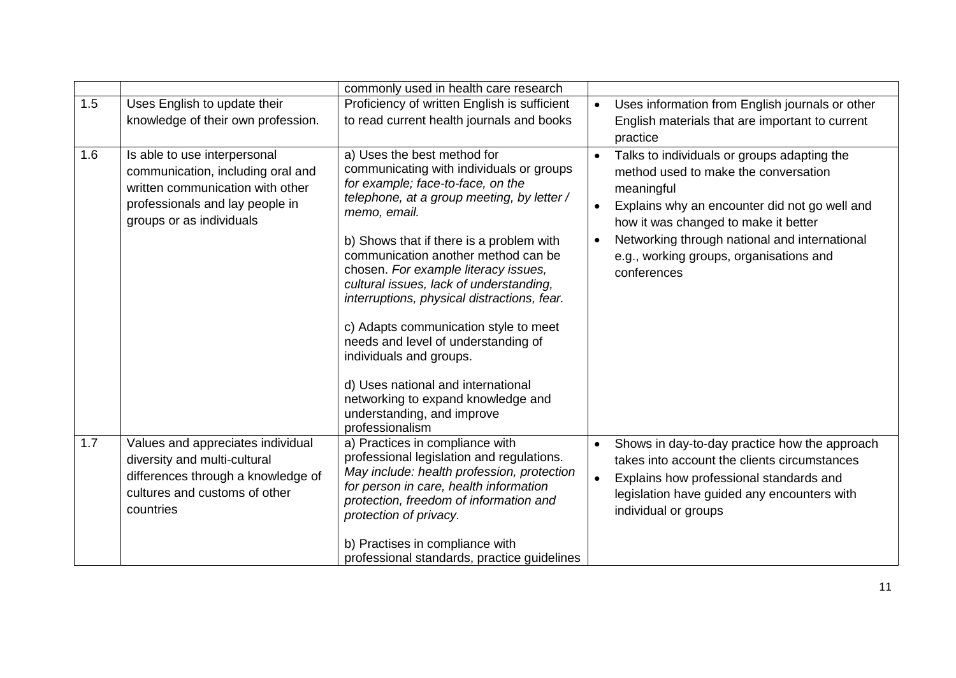|     |                                                                                                                                                                      | commonly used in health care research                                                                                                                                                                                                                                                                                                                                                                                                                                                                                                                                                                                                   |                                     |                                                                                                                                                                                                                                                                                                       |
|-----|----------------------------------------------------------------------------------------------------------------------------------------------------------------------|-----------------------------------------------------------------------------------------------------------------------------------------------------------------------------------------------------------------------------------------------------------------------------------------------------------------------------------------------------------------------------------------------------------------------------------------------------------------------------------------------------------------------------------------------------------------------------------------------------------------------------------------|-------------------------------------|-------------------------------------------------------------------------------------------------------------------------------------------------------------------------------------------------------------------------------------------------------------------------------------------------------|
| 1.5 | Uses English to update their                                                                                                                                         | Proficiency of written English is sufficient                                                                                                                                                                                                                                                                                                                                                                                                                                                                                                                                                                                            | $\bullet$                           | Uses information from English journals or other                                                                                                                                                                                                                                                       |
|     | knowledge of their own profession.                                                                                                                                   | to read current health journals and books                                                                                                                                                                                                                                                                                                                                                                                                                                                                                                                                                                                               |                                     | English materials that are important to current<br>practice                                                                                                                                                                                                                                           |
| 1.6 | Is able to use interpersonal<br>communication, including oral and<br>written communication with other<br>professionals and lay people in<br>groups or as individuals | a) Uses the best method for<br>communicating with individuals or groups<br>for example; face-to-face, on the<br>telephone, at a group meeting, by letter /<br>memo, email.<br>b) Shows that if there is a problem with<br>communication another method can be<br>chosen. For example literacy issues,<br>cultural issues, lack of understanding,<br>interruptions, physical distractions, fear.<br>c) Adapts communication style to meet<br>needs and level of understanding of<br>individuals and groups.<br>d) Uses national and international<br>networking to expand knowledge and<br>understanding, and improve<br>professionalism | $\bullet$<br>$\bullet$<br>$\bullet$ | Talks to individuals or groups adapting the<br>method used to make the conversation<br>meaningful<br>Explains why an encounter did not go well and<br>how it was changed to make it better<br>Networking through national and international<br>e.g., working groups, organisations and<br>conferences |
| 1.7 | Values and appreciates individual<br>diversity and multi-cultural<br>differences through a knowledge of<br>cultures and customs of other<br>countries                | a) Practices in compliance with<br>professional legislation and regulations.<br>May include: health profession, protection<br>for person in care, health information<br>protection, freedom of information and<br>protection of privacy.<br>b) Practises in compliance with<br>professional standards, practice guidelines                                                                                                                                                                                                                                                                                                              | $\bullet$<br>$\bullet$              | Shows in day-to-day practice how the approach<br>takes into account the clients circumstances<br>Explains how professional standards and<br>legislation have guided any encounters with<br>individual or groups                                                                                       |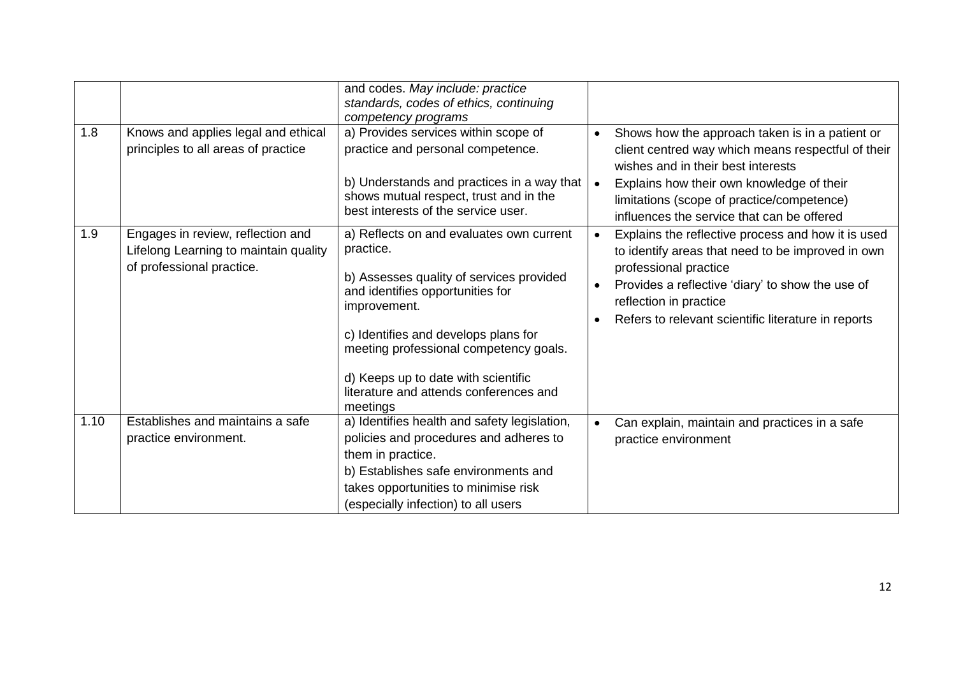| 1.8  | Knows and applies legal and ethical                                                                     | and codes. May include: practice<br>standards, codes of ethics, continuing<br>competency programs<br>a) Provides services within scope of                                                                                                                                                                                            | Shows how the approach taken is in a patient or<br>$\bullet$                                                                                                                                                                                                                                    |
|------|---------------------------------------------------------------------------------------------------------|--------------------------------------------------------------------------------------------------------------------------------------------------------------------------------------------------------------------------------------------------------------------------------------------------------------------------------------|-------------------------------------------------------------------------------------------------------------------------------------------------------------------------------------------------------------------------------------------------------------------------------------------------|
|      | principles to all areas of practice                                                                     | practice and personal competence.<br>b) Understands and practices in a way that<br>shows mutual respect, trust and in the<br>best interests of the service user.                                                                                                                                                                     | client centred way which means respectful of their<br>wishes and in their best interests<br>Explains how their own knowledge of their<br>$\bullet$<br>limitations (scope of practice/competence)<br>influences the service that can be offered                                                  |
| 1.9  | Engages in review, reflection and<br>Lifelong Learning to maintain quality<br>of professional practice. | a) Reflects on and evaluates own current<br>practice.<br>b) Assesses quality of services provided<br>and identifies opportunities for<br>improvement.<br>c) Identifies and develops plans for<br>meeting professional competency goals.<br>d) Keeps up to date with scientific<br>literature and attends conferences and<br>meetings | Explains the reflective process and how it is used<br>$\bullet$<br>to identify areas that need to be improved in own<br>professional practice<br>Provides a reflective 'diary' to show the use of<br>reflection in practice<br>Refers to relevant scientific literature in reports<br>$\bullet$ |
| 1.10 | Establishes and maintains a safe<br>practice environment.                                               | a) Identifies health and safety legislation,<br>policies and procedures and adheres to<br>them in practice.<br>b) Establishes safe environments and<br>takes opportunities to minimise risk<br>(especially infection) to all users                                                                                                   | Can explain, maintain and practices in a safe<br>$\bullet$<br>practice environment                                                                                                                                                                                                              |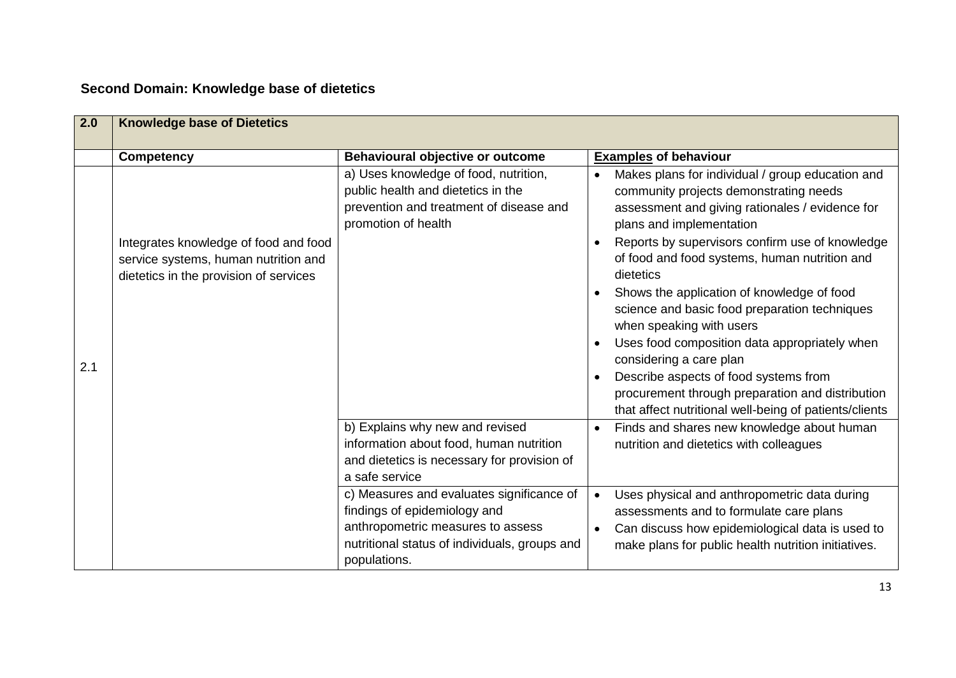## **Second Domain: Knowledge base of dietetics**

| 2.0 | <b>Knowledge base of Dietetics</b>                                                                                      |                                                                                                                                                                 |                                                                                                                                                                                                                                                                                                                                                                                                                                                                                                                                                                                                                                       |
|-----|-------------------------------------------------------------------------------------------------------------------------|-----------------------------------------------------------------------------------------------------------------------------------------------------------------|---------------------------------------------------------------------------------------------------------------------------------------------------------------------------------------------------------------------------------------------------------------------------------------------------------------------------------------------------------------------------------------------------------------------------------------------------------------------------------------------------------------------------------------------------------------------------------------------------------------------------------------|
|     | <b>Competency</b>                                                                                                       | Behavioural objective or outcome                                                                                                                                | <b>Examples of behaviour</b>                                                                                                                                                                                                                                                                                                                                                                                                                                                                                                                                                                                                          |
| 2.1 | Integrates knowledge of food and food<br>service systems, human nutrition and<br>dietetics in the provision of services | a) Uses knowledge of food, nutrition,<br>public health and dietetics in the<br>prevention and treatment of disease and<br>promotion of health                   | Makes plans for individual / group education and<br>$\bullet$<br>community projects demonstrating needs<br>assessment and giving rationales / evidence for<br>plans and implementation<br>Reports by supervisors confirm use of knowledge<br>of food and food systems, human nutrition and<br>dietetics<br>Shows the application of knowledge of food<br>$\bullet$<br>science and basic food preparation techniques<br>when speaking with users<br>Uses food composition data appropriately when<br>$\bullet$<br>considering a care plan<br>Describe aspects of food systems from<br>procurement through preparation and distribution |
|     |                                                                                                                         | b) Explains why new and revised                                                                                                                                 | that affect nutritional well-being of patients/clients<br>Finds and shares new knowledge about human                                                                                                                                                                                                                                                                                                                                                                                                                                                                                                                                  |
|     |                                                                                                                         | information about food, human nutrition                                                                                                                         | nutrition and dietetics with colleagues                                                                                                                                                                                                                                                                                                                                                                                                                                                                                                                                                                                               |
|     |                                                                                                                         | and dietetics is necessary for provision of                                                                                                                     |                                                                                                                                                                                                                                                                                                                                                                                                                                                                                                                                                                                                                                       |
|     |                                                                                                                         | a safe service                                                                                                                                                  |                                                                                                                                                                                                                                                                                                                                                                                                                                                                                                                                                                                                                                       |
|     |                                                                                                                         | c) Measures and evaluates significance of<br>findings of epidemiology and<br>anthropometric measures to assess<br>nutritional status of individuals, groups and | Uses physical and anthropometric data during<br>$\bullet$<br>assessments and to formulate care plans<br>Can discuss how epidemiological data is used to<br>make plans for public health nutrition initiatives.                                                                                                                                                                                                                                                                                                                                                                                                                        |
|     |                                                                                                                         | populations.                                                                                                                                                    |                                                                                                                                                                                                                                                                                                                                                                                                                                                                                                                                                                                                                                       |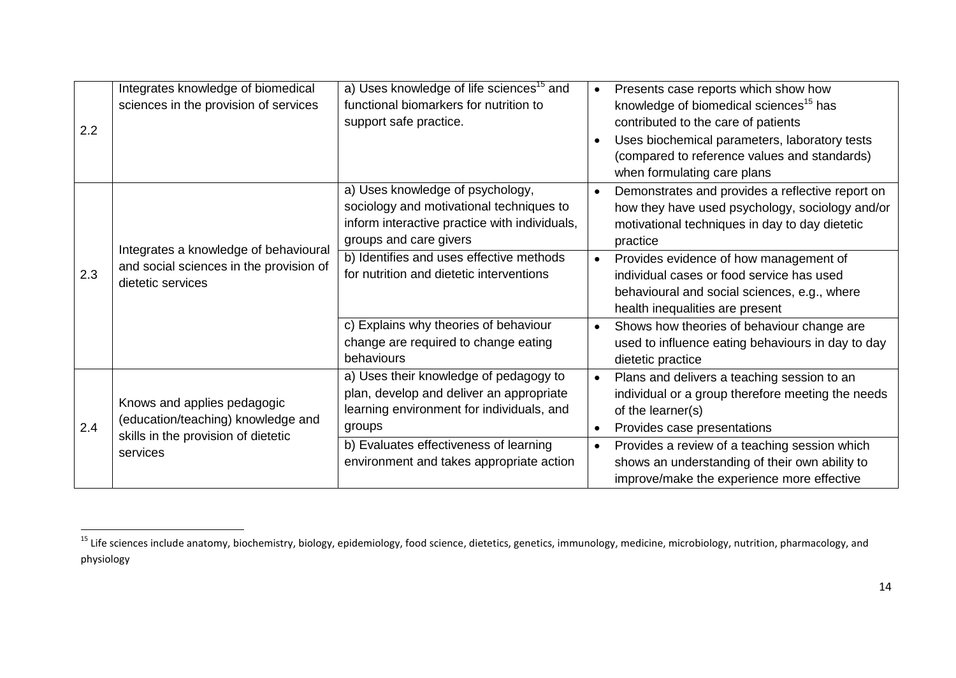| 2.2 | Integrates knowledge of biomedical<br>sciences in the provision of services                              | a) Uses knowledge of life sciences <sup>15</sup> and<br>functional biomarkers for nutrition to<br>support safe practice.                                | $\bullet$              | Presents case reports which show how<br>knowledge of biomedical sciences <sup>15</sup> has<br>contributed to the care of patients<br>Uses biochemical parameters, laboratory tests<br>(compared to reference values and standards)<br>when formulating care plans |
|-----|----------------------------------------------------------------------------------------------------------|---------------------------------------------------------------------------------------------------------------------------------------------------------|------------------------|-------------------------------------------------------------------------------------------------------------------------------------------------------------------------------------------------------------------------------------------------------------------|
|     | Integrates a knowledge of behavioural                                                                    | a) Uses knowledge of psychology,<br>sociology and motivational techniques to<br>inform interactive practice with individuals,<br>groups and care givers | $\bullet$              | Demonstrates and provides a reflective report on<br>how they have used psychology, sociology and/or<br>motivational techniques in day to day dietetic<br>practice                                                                                                 |
| 2.3 | and social sciences in the provision of<br>dietetic services                                             | b) Identifies and uses effective methods<br>for nutrition and dietetic interventions                                                                    |                        | Provides evidence of how management of<br>individual cases or food service has used<br>behavioural and social sciences, e.g., where<br>health inequalities are present                                                                                            |
|     |                                                                                                          | c) Explains why theories of behaviour<br>change are required to change eating<br>behaviours                                                             |                        | Shows how theories of behaviour change are<br>used to influence eating behaviours in day to day<br>dietetic practice                                                                                                                                              |
| 2.4 | Knows and applies pedagogic<br>(education/teaching) knowledge and<br>skills in the provision of dietetic | a) Uses their knowledge of pedagogy to<br>plan, develop and deliver an appropriate<br>learning environment for individuals, and<br>groups               | $\bullet$<br>$\bullet$ | Plans and delivers a teaching session to an<br>individual or a group therefore meeting the needs<br>of the learner(s)<br>Provides case presentations                                                                                                              |
|     | services                                                                                                 | b) Evaluates effectiveness of learning<br>environment and takes appropriate action                                                                      | $\bullet$              | Provides a review of a teaching session which<br>shows an understanding of their own ability to<br>improve/make the experience more effective                                                                                                                     |

 $\overline{\phantom{a}}$ 

<sup>&</sup>lt;sup>15</sup> Life sciences include anatomy, biochemistry, biology, epidemiology, food science, dietetics, genetics, immunology, medicine, microbiology, nutrition, pharmacology, and physiology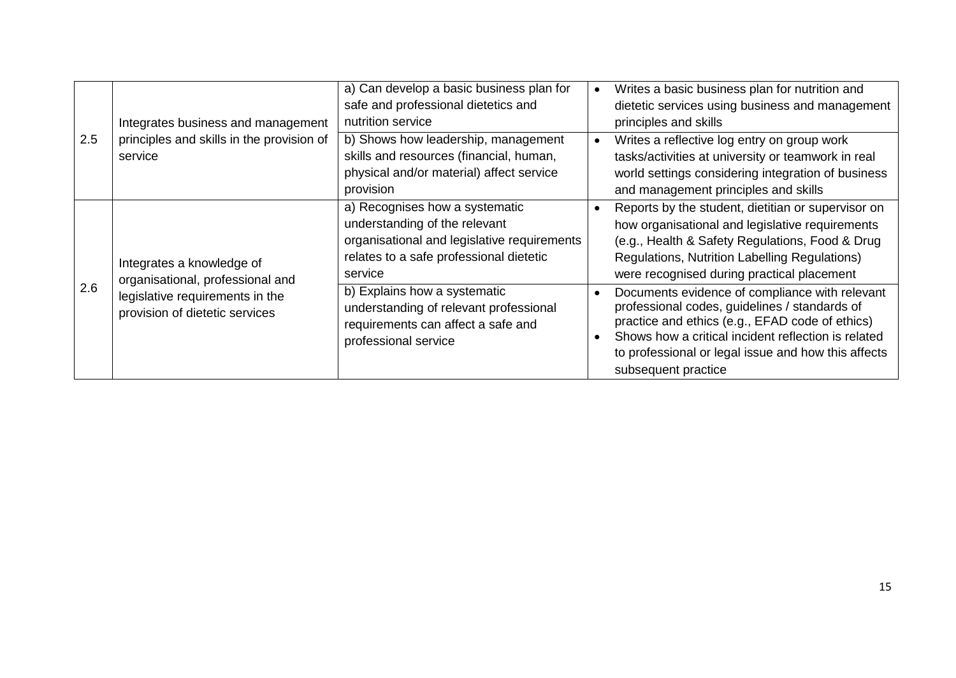|     |                                                                                            | a) Can develop a basic business plan for                                                                                                                             | Writes a basic business plan for nutrition and                                                                                                                                                                                                                                          |
|-----|--------------------------------------------------------------------------------------------|----------------------------------------------------------------------------------------------------------------------------------------------------------------------|-----------------------------------------------------------------------------------------------------------------------------------------------------------------------------------------------------------------------------------------------------------------------------------------|
| 2.5 |                                                                                            | safe and professional dietetics and                                                                                                                                  | dietetic services using business and management                                                                                                                                                                                                                                         |
|     | Integrates business and management<br>principles and skills in the provision of<br>service | nutrition service                                                                                                                                                    | principles and skills                                                                                                                                                                                                                                                                   |
|     |                                                                                            | b) Shows how leadership, management<br>skills and resources (financial, human,<br>physical and/or material) affect service                                           | Writes a reflective log entry on group work<br>tasks/activities at university or teamwork in real<br>world settings considering integration of business                                                                                                                                 |
|     |                                                                                            | provision                                                                                                                                                            | and management principles and skills                                                                                                                                                                                                                                                    |
|     | Integrates a knowledge of<br>organisational, professional and                              | a) Recognises how a systematic<br>understanding of the relevant<br>organisational and legislative requirements<br>relates to a safe professional dietetic<br>service | Reports by the student, dietitian or supervisor on<br>how organisational and legislative requirements<br>(e.g., Health & Safety Regulations, Food & Drug<br>Regulations, Nutrition Labelling Regulations)<br>were recognised during practical placement                                 |
| 2.6 | legislative requirements in the<br>provision of dietetic services                          | b) Explains how a systematic<br>understanding of relevant professional<br>requirements can affect a safe and<br>professional service                                 | Documents evidence of compliance with relevant<br>professional codes, guidelines / standards of<br>practice and ethics (e.g., EFAD code of ethics)<br>Shows how a critical incident reflection is related<br>to professional or legal issue and how this affects<br>subsequent practice |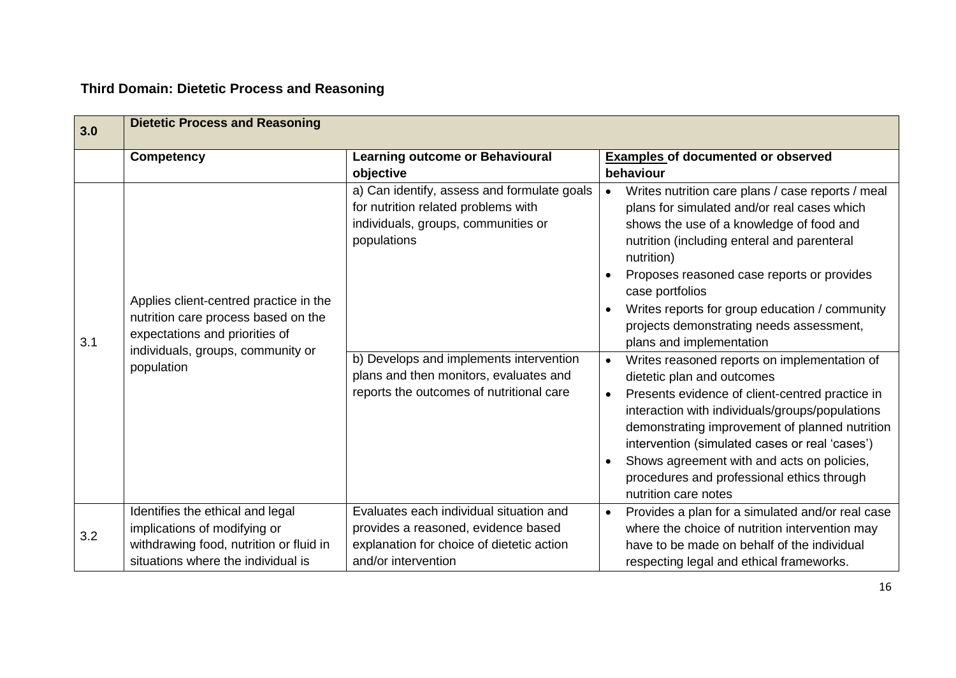## **Third Domain: Dietetic Process and Reasoning**

| 3.0 | <b>Dietetic Process and Reasoning</b>                                                                                                                              |                                                                                                                                                                                                                                                                           |                                                                                                                                                                                                                                                                                                                                                                                                                                                                                                                                                                                                                                                                                                                                                                                                                                                                      |
|-----|--------------------------------------------------------------------------------------------------------------------------------------------------------------------|---------------------------------------------------------------------------------------------------------------------------------------------------------------------------------------------------------------------------------------------------------------------------|----------------------------------------------------------------------------------------------------------------------------------------------------------------------------------------------------------------------------------------------------------------------------------------------------------------------------------------------------------------------------------------------------------------------------------------------------------------------------------------------------------------------------------------------------------------------------------------------------------------------------------------------------------------------------------------------------------------------------------------------------------------------------------------------------------------------------------------------------------------------|
|     | <b>Competency</b>                                                                                                                                                  | <b>Learning outcome or Behavioural</b><br>objective                                                                                                                                                                                                                       | <b>Examples of documented or observed</b><br>behaviour                                                                                                                                                                                                                                                                                                                                                                                                                                                                                                                                                                                                                                                                                                                                                                                                               |
| 3.1 | Applies client-centred practice in the<br>nutrition care process based on the<br>expectations and priorities of<br>individuals, groups, community or<br>population | a) Can identify, assess and formulate goals<br>for nutrition related problems with<br>individuals, groups, communities or<br>populations<br>b) Develops and implements intervention<br>plans and then monitors, evaluates and<br>reports the outcomes of nutritional care | Writes nutrition care plans / case reports / meal<br>$\bullet$<br>plans for simulated and/or real cases which<br>shows the use of a knowledge of food and<br>nutrition (including enteral and parenteral<br>nutrition)<br>Proposes reasoned case reports or provides<br>case portfolios<br>Writes reports for group education / community<br>$\bullet$<br>projects demonstrating needs assessment,<br>plans and implementation<br>Writes reasoned reports on implementation of<br>$\bullet$<br>dietetic plan and outcomes<br>Presents evidence of client-centred practice in<br>$\bullet$<br>interaction with individuals/groups/populations<br>demonstrating improvement of planned nutrition<br>intervention (simulated cases or real 'cases')<br>Shows agreement with and acts on policies,<br>procedures and professional ethics through<br>nutrition care notes |
| 3.2 | Identifies the ethical and legal<br>implications of modifying or<br>withdrawing food, nutrition or fluid in<br>situations where the individual is                  | Evaluates each individual situation and<br>provides a reasoned, evidence based<br>explanation for choice of dietetic action<br>and/or intervention                                                                                                                        | Provides a plan for a simulated and/or real case<br>$\bullet$<br>where the choice of nutrition intervention may<br>have to be made on behalf of the individual<br>respecting legal and ethical frameworks.                                                                                                                                                                                                                                                                                                                                                                                                                                                                                                                                                                                                                                                           |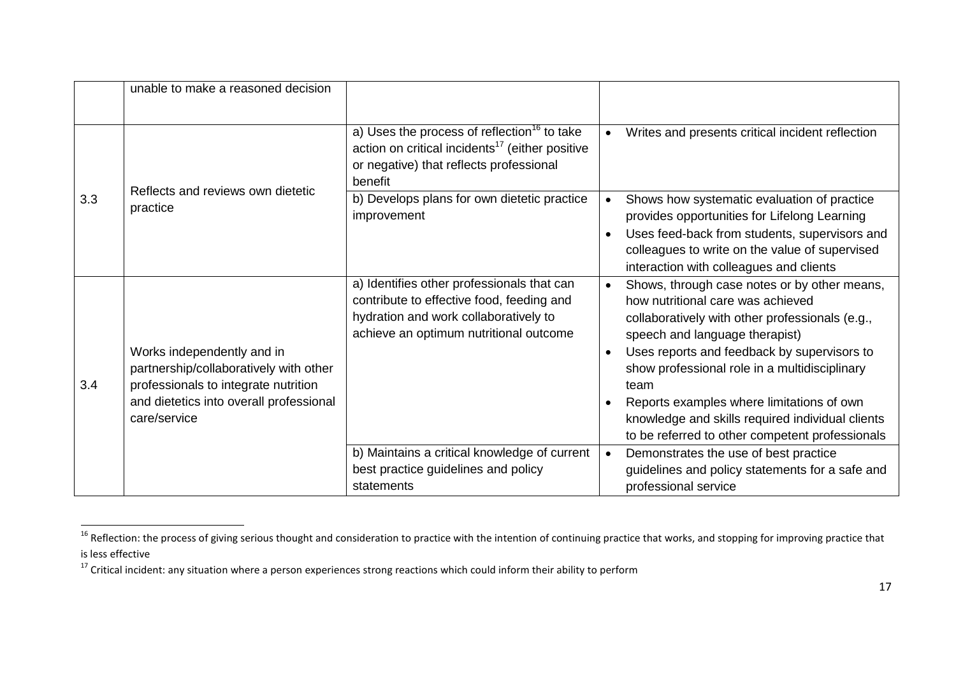|     | unable to make a reasoned decision                                                                                                                                      |                                                                                                                                                                              |                                                                                                                                                                                                                                                                                                                                                                                                                                                                           |
|-----|-------------------------------------------------------------------------------------------------------------------------------------------------------------------------|------------------------------------------------------------------------------------------------------------------------------------------------------------------------------|---------------------------------------------------------------------------------------------------------------------------------------------------------------------------------------------------------------------------------------------------------------------------------------------------------------------------------------------------------------------------------------------------------------------------------------------------------------------------|
|     |                                                                                                                                                                         | a) Uses the process of reflection <sup>16</sup> to take<br>action on critical incidents <sup>17</sup> (either positive<br>or negative) that reflects professional<br>benefit | Writes and presents critical incident reflection<br>$\bullet$                                                                                                                                                                                                                                                                                                                                                                                                             |
| 3.3 | Reflects and reviews own dietetic<br>practice                                                                                                                           | b) Develops plans for own dietetic practice<br>improvement                                                                                                                   | Shows how systematic evaluation of practice<br>$\bullet$<br>provides opportunities for Lifelong Learning<br>Uses feed-back from students, supervisors and<br>$\bullet$<br>colleagues to write on the value of supervised<br>interaction with colleagues and clients                                                                                                                                                                                                       |
| 3.4 | Works independently and in<br>partnership/collaboratively with other<br>professionals to integrate nutrition<br>and dietetics into overall professional<br>care/service | a) Identifies other professionals that can<br>contribute to effective food, feeding and<br>hydration and work collaboratively to<br>achieve an optimum nutritional outcome   | Shows, through case notes or by other means,<br>$\bullet$<br>how nutritional care was achieved<br>collaboratively with other professionals (e.g.,<br>speech and language therapist)<br>Uses reports and feedback by supervisors to<br>$\bullet$<br>show professional role in a multidisciplinary<br>team<br>Reports examples where limitations of own<br>$\bullet$<br>knowledge and skills required individual clients<br>to be referred to other competent professionals |
|     |                                                                                                                                                                         | b) Maintains a critical knowledge of current<br>best practice guidelines and policy<br>statements                                                                            | Demonstrates the use of best practice<br>$\bullet$<br>guidelines and policy statements for a safe and<br>professional service                                                                                                                                                                                                                                                                                                                                             |

<sup>&</sup>lt;sup>16</sup> Reflection: the process of giving serious thought and consideration to practice with the intention of continuing practice that works, and stopping for improving practice that is less effective

<sup>17</sup> Critical incident: any situation where a person experiences strong reactions which could inform their ability to perform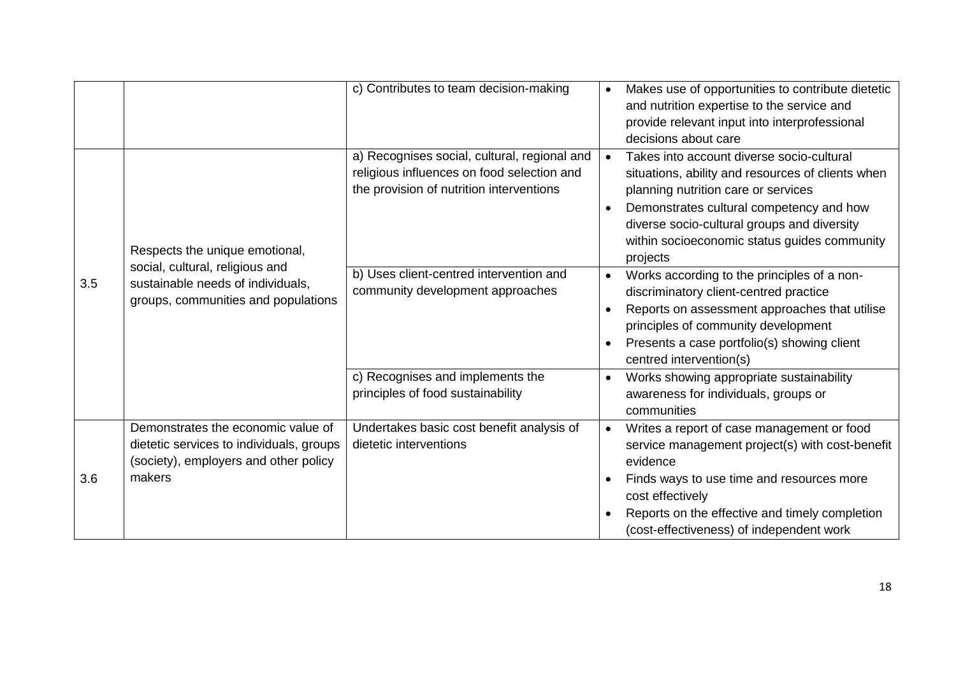|     |                                                                                                                                               | c) Contributes to team decision-making                                                                                                 | Makes use of opportunities to contribute dietetic<br>$\bullet$<br>and nutrition expertise to the service and<br>provide relevant input into interprofessional<br>decisions about care                                                                                                                                  |
|-----|-----------------------------------------------------------------------------------------------------------------------------------------------|----------------------------------------------------------------------------------------------------------------------------------------|------------------------------------------------------------------------------------------------------------------------------------------------------------------------------------------------------------------------------------------------------------------------------------------------------------------------|
| 3.5 | Respects the unique emotional,<br>social, cultural, religious and<br>sustainable needs of individuals,<br>groups, communities and populations | a) Recognises social, cultural, regional and<br>religious influences on food selection and<br>the provision of nutrition interventions | Takes into account diverse socio-cultural<br>$\bullet$<br>situations, ability and resources of clients when<br>planning nutrition care or services<br>Demonstrates cultural competency and how<br>$\bullet$<br>diverse socio-cultural groups and diversity<br>within socioeconomic status guides community<br>projects |
|     |                                                                                                                                               | b) Uses client-centred intervention and<br>community development approaches                                                            | Works according to the principles of a non-<br>$\bullet$<br>discriminatory client-centred practice<br>Reports on assessment approaches that utilise<br>$\bullet$<br>principles of community development<br>Presents a case portfolio(s) showing client<br>centred intervention(s)                                      |
|     |                                                                                                                                               | c) Recognises and implements the<br>principles of food sustainability                                                                  | Works showing appropriate sustainability<br>$\bullet$<br>awareness for individuals, groups or<br>communities                                                                                                                                                                                                           |
| 3.6 | Demonstrates the economic value of<br>dietetic services to individuals, groups<br>(society), employers and other policy<br>makers             | Undertakes basic cost benefit analysis of<br>dietetic interventions                                                                    | Writes a report of case management or food<br>$\bullet$<br>service management project(s) with cost-benefit<br>evidence<br>Finds ways to use time and resources more<br>cost effectively<br>Reports on the effective and timely completion<br>(cost-effectiveness) of independent work                                  |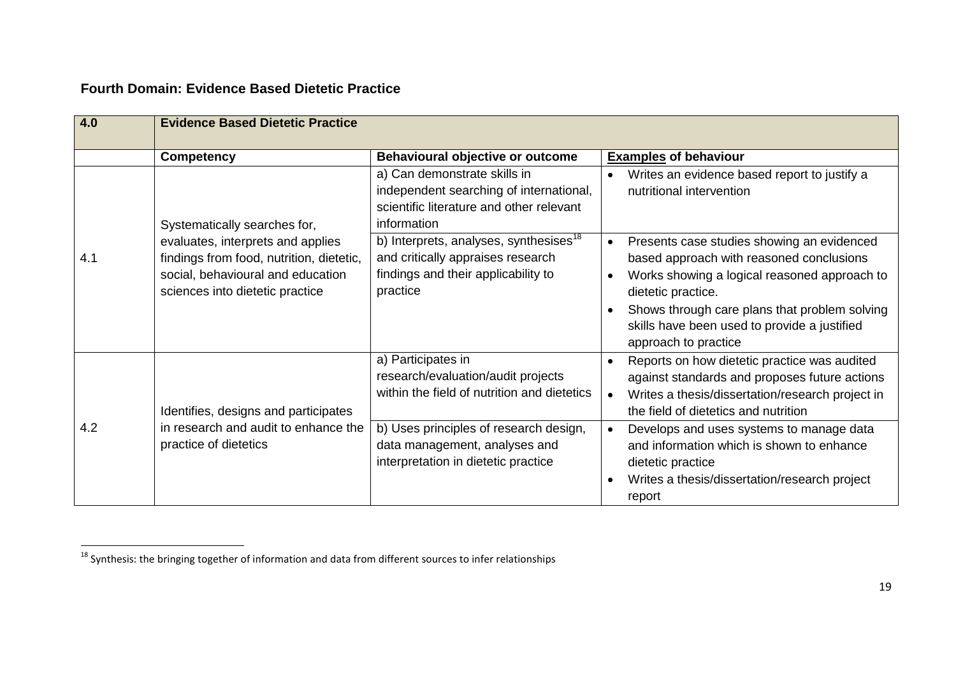### **Fourth Domain: Evidence Based Dietetic Practice**

| 4.0 | <b>Evidence Based Dietetic Practice</b>                                                                                                               |                                                                                                                                                                                    |                                                                                                                                                                                                                                                                                                                 |
|-----|-------------------------------------------------------------------------------------------------------------------------------------------------------|------------------------------------------------------------------------------------------------------------------------------------------------------------------------------------|-----------------------------------------------------------------------------------------------------------------------------------------------------------------------------------------------------------------------------------------------------------------------------------------------------------------|
|     | <b>Competency</b>                                                                                                                                     | Behavioural objective or outcome                                                                                                                                                   | <b>Examples of behaviour</b>                                                                                                                                                                                                                                                                                    |
|     | Systematically searches for,                                                                                                                          | a) Can demonstrate skills in<br>independent searching of international,<br>scientific literature and other relevant<br>information                                                 | Writes an evidence based report to justify a<br>$\bullet$<br>nutritional intervention                                                                                                                                                                                                                           |
| 4.1 | evaluates, interprets and applies<br>findings from food, nutrition, dietetic,<br>social, behavioural and education<br>sciences into dietetic practice | b) Interprets, analyses, synthesises <sup>18</sup><br>and critically appraises research<br>findings and their applicability to<br>practice                                         | Presents case studies showing an evidenced<br>$\bullet$<br>based approach with reasoned conclusions<br>Works showing a logical reasoned approach to<br>$\bullet$<br>dietetic practice.<br>Shows through care plans that problem solving<br>skills have been used to provide a justified<br>approach to practice |
| 4.2 | Identifies, designs and participates<br>in research and audit to enhance the<br>practice of dietetics                                                 | a) Participates in<br>research/evaluation/audit projects<br>within the field of nutrition and dietetics<br>b) Uses principles of research design,<br>data management, analyses and | Reports on how dietetic practice was audited<br>$\bullet$<br>against standards and proposes future actions<br>Writes a thesis/dissertation/research project in<br>the field of dietetics and nutrition<br>Develops and uses systems to manage data<br>$\bullet$<br>and information which is shown to enhance    |
|     |                                                                                                                                                       | interpretation in dietetic practice                                                                                                                                                | dietetic practice<br>Writes a thesis/dissertation/research project<br>$\bullet$<br>report                                                                                                                                                                                                                       |

<sup>&</sup>lt;sup>18</sup> Synthesis: the bringing together of information and data from different sources to infer relationships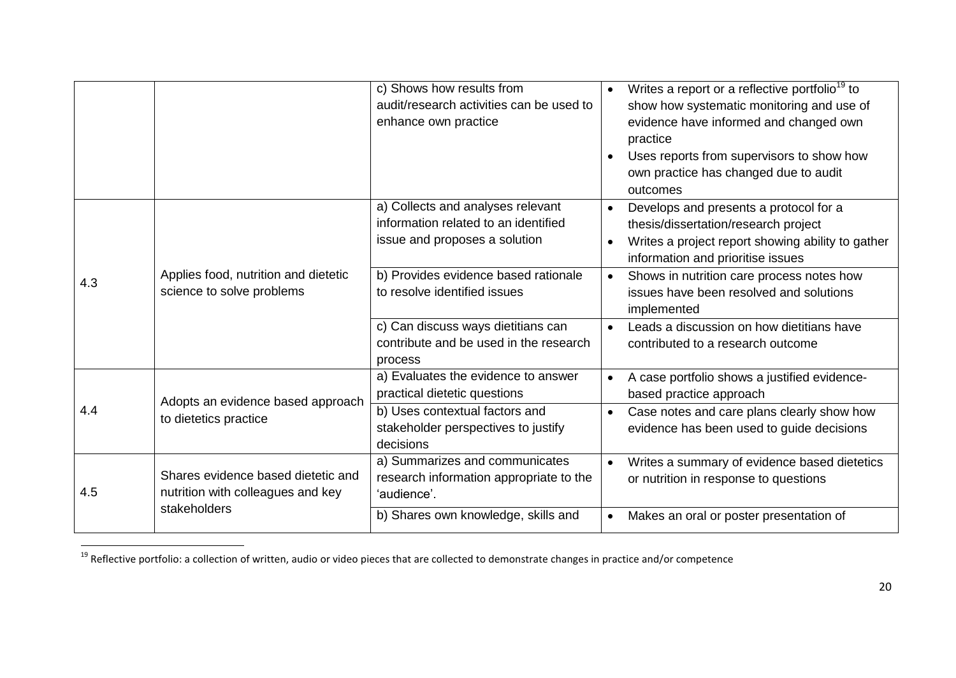|     |                                                                         | c) Shows how results from<br>audit/research activities can be used to<br>enhance own practice              | Writes a report or a reflective portfolio <sup>19</sup> to<br>$\bullet$<br>show how systematic monitoring and use of<br>evidence have informed and changed own<br>practice<br>Uses reports from supervisors to show how<br>own practice has changed due to audit<br>outcomes |
|-----|-------------------------------------------------------------------------|------------------------------------------------------------------------------------------------------------|------------------------------------------------------------------------------------------------------------------------------------------------------------------------------------------------------------------------------------------------------------------------------|
|     |                                                                         | a) Collects and analyses relevant<br>information related to an identified<br>issue and proposes a solution | Develops and presents a protocol for a<br>$\bullet$<br>thesis/dissertation/research project<br>Writes a project report showing ability to gather<br>$\bullet$<br>information and prioritise issues                                                                           |
| 4.3 | Applies food, nutrition and dietetic<br>science to solve problems       | b) Provides evidence based rationale<br>to resolve identified issues                                       | Shows in nutrition care process notes how<br>$\bullet$<br>issues have been resolved and solutions<br>implemented                                                                                                                                                             |
|     |                                                                         | c) Can discuss ways dietitians can<br>contribute and be used in the research<br>process                    | Leads a discussion on how dietitians have<br>$\bullet$<br>contributed to a research outcome                                                                                                                                                                                  |
|     | Adopts an evidence based approach                                       | a) Evaluates the evidence to answer<br>practical dietetic questions                                        | A case portfolio shows a justified evidence-<br>$\bullet$<br>based practice approach                                                                                                                                                                                         |
| 4.4 | to dietetics practice                                                   | b) Uses contextual factors and<br>stakeholder perspectives to justify<br>decisions                         | Case notes and care plans clearly show how<br>$\bullet$<br>evidence has been used to guide decisions                                                                                                                                                                         |
| 4.5 | Shares evidence based dietetic and<br>nutrition with colleagues and key | a) Summarizes and communicates<br>research information appropriate to the<br>'audience'.                   | Writes a summary of evidence based dietetics<br>$\bullet$<br>or nutrition in response to questions                                                                                                                                                                           |
|     | stakeholders                                                            | b) Shares own knowledge, skills and                                                                        | Makes an oral or poster presentation of<br>$\bullet$                                                                                                                                                                                                                         |

<sup>&</sup>lt;sup>19</sup> Reflective portfolio: a collection of written, audio or video pieces that are collected to demonstrate changes in practice and/or competence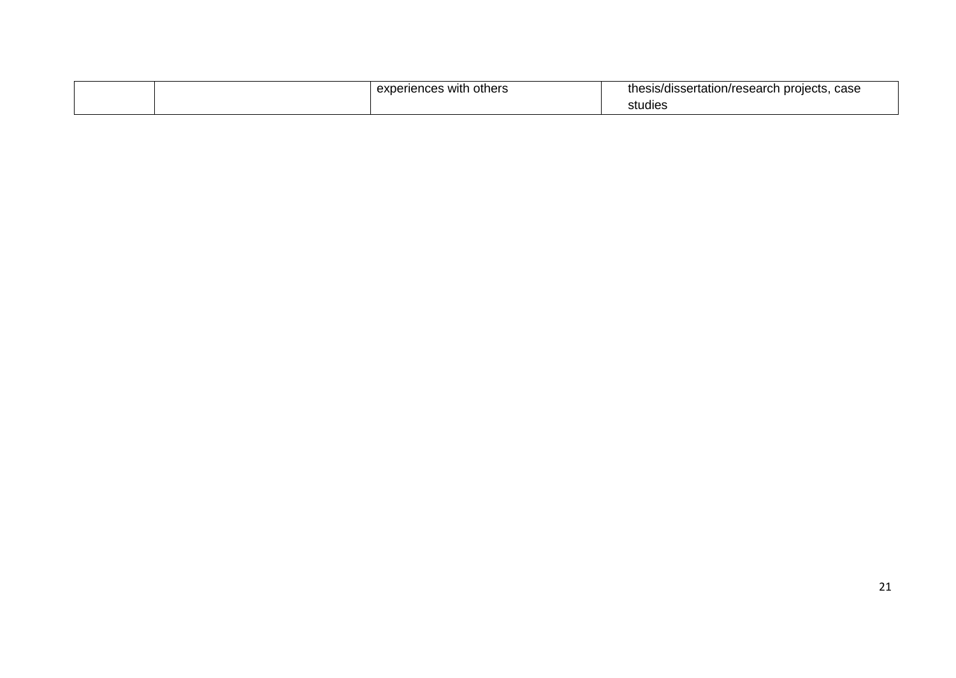|  | experiences with<br>others | case<br>a projects. 1<br>sis/dissertation/research<br>the.<br><b>0000</b> |
|--|----------------------------|---------------------------------------------------------------------------|
|  |                            | studies                                                                   |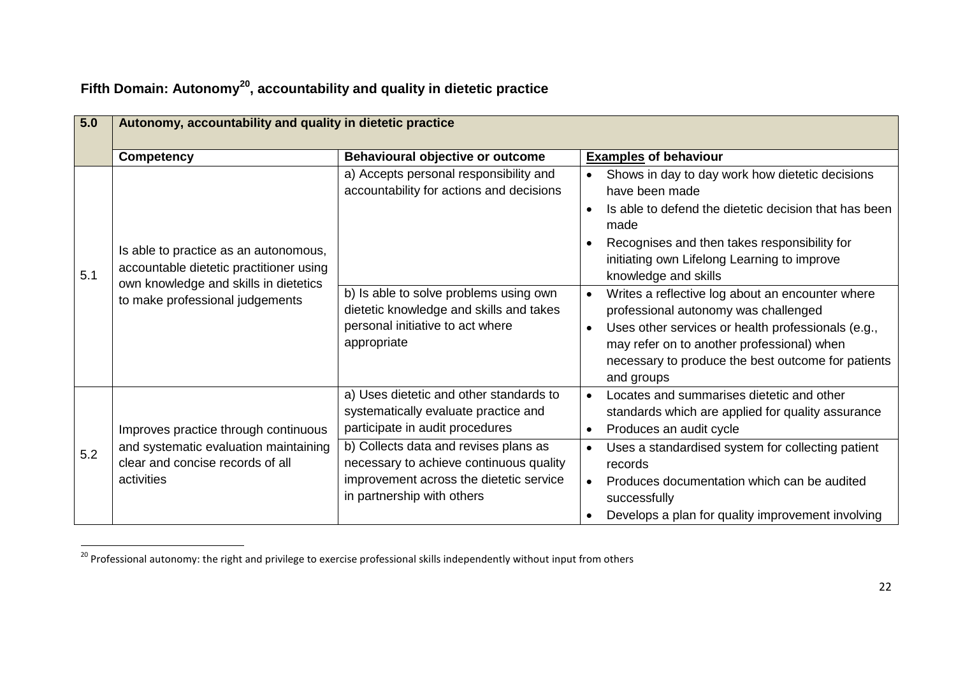| 5.0 | Autonomy, accountability and quality in dietetic practice                                                                                                    |                                                                                                                                                                                                                                                                                 |                                                                                                                                                                                                                                                                                                                                                                                                                                                                                                                                                                      |  |
|-----|--------------------------------------------------------------------------------------------------------------------------------------------------------------|---------------------------------------------------------------------------------------------------------------------------------------------------------------------------------------------------------------------------------------------------------------------------------|----------------------------------------------------------------------------------------------------------------------------------------------------------------------------------------------------------------------------------------------------------------------------------------------------------------------------------------------------------------------------------------------------------------------------------------------------------------------------------------------------------------------------------------------------------------------|--|
|     | <b>Competency</b>                                                                                                                                            | Behavioural objective or outcome                                                                                                                                                                                                                                                | <b>Examples of behaviour</b>                                                                                                                                                                                                                                                                                                                                                                                                                                                                                                                                         |  |
| 5.1 | Is able to practice as an autonomous,<br>accountable dietetic practitioner using<br>own knowledge and skills in dietetics<br>to make professional judgements | a) Accepts personal responsibility and<br>accountability for actions and decisions<br>b) Is able to solve problems using own<br>dietetic knowledge and skills and takes<br>personal initiative to act where<br>appropriate                                                      | Shows in day to day work how dietetic decisions<br>have been made<br>Is able to defend the dietetic decision that has been<br>$\bullet$<br>made<br>Recognises and then takes responsibility for<br>initiating own Lifelong Learning to improve<br>knowledge and skills<br>Writes a reflective log about an encounter where<br>$\bullet$<br>professional autonomy was challenged<br>Uses other services or health professionals (e.g.,<br>$\bullet$<br>may refer on to another professional) when<br>necessary to produce the best outcome for patients<br>and groups |  |
| 5.2 | Improves practice through continuous<br>and systematic evaluation maintaining<br>clear and concise records of all<br>activities                              | a) Uses dietetic and other standards to<br>systematically evaluate practice and<br>participate in audit procedures<br>b) Collects data and revises plans as<br>necessary to achieve continuous quality<br>improvement across the dietetic service<br>in partnership with others | Locates and summarises dietetic and other<br>$\bullet$<br>standards which are applied for quality assurance<br>Produces an audit cycle<br>$\bullet$<br>Uses a standardised system for collecting patient<br>$\bullet$<br>records<br>Produces documentation which can be audited<br>successfully<br>Develops a plan for quality improvement involving<br>$\bullet$                                                                                                                                                                                                    |  |

# **Fifth Domain: Autonomy<sup>20</sup>, accountability and quality in dietetic practice**

<sup>&</sup>lt;sup>20</sup> Professional autonomy: the right and privilege to exercise professional skills independently without input from others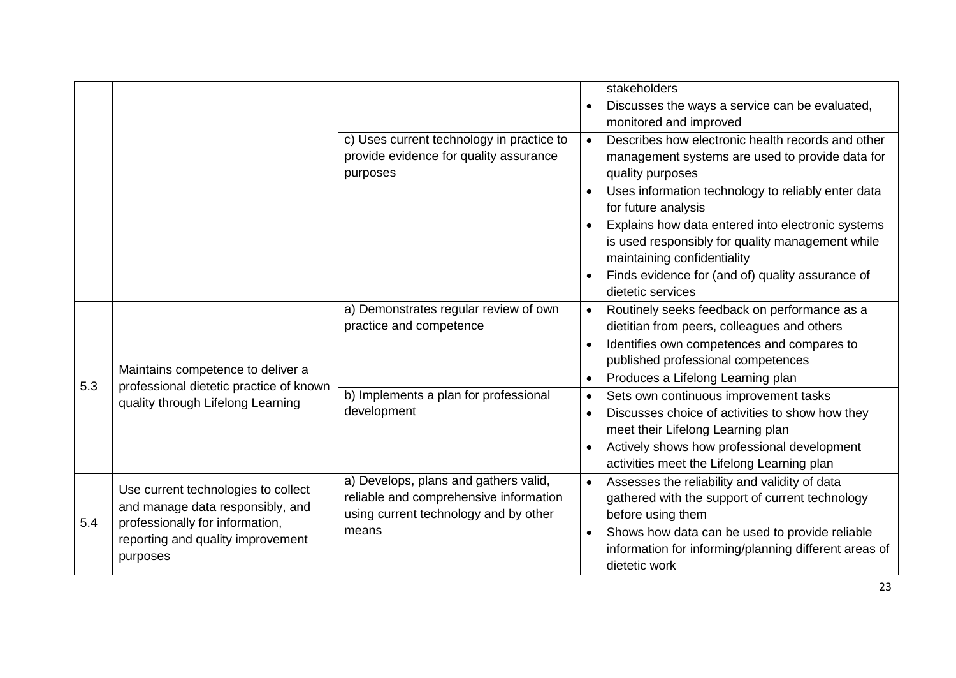|     |                                                                                                                                                             |                                                                                                                                   | stakeholders<br>Discusses the ways a service can be evaluated,<br>monitored and improved                                                                                                                                                                       |
|-----|-------------------------------------------------------------------------------------------------------------------------------------------------------------|-----------------------------------------------------------------------------------------------------------------------------------|----------------------------------------------------------------------------------------------------------------------------------------------------------------------------------------------------------------------------------------------------------------|
|     |                                                                                                                                                             | c) Uses current technology in practice to<br>provide evidence for quality assurance<br>purposes                                   | Describes how electronic health records and other<br>$\bullet$<br>management systems are used to provide data for<br>quality purposes                                                                                                                          |
|     |                                                                                                                                                             |                                                                                                                                   | Uses information technology to reliably enter data<br>for future analysis                                                                                                                                                                                      |
|     |                                                                                                                                                             |                                                                                                                                   | Explains how data entered into electronic systems<br>is used responsibly for quality management while<br>maintaining confidentiality                                                                                                                           |
|     |                                                                                                                                                             |                                                                                                                                   | Finds evidence for (and of) quality assurance of<br>dietetic services                                                                                                                                                                                          |
| 5.3 | Maintains competence to deliver a<br>professional dietetic practice of known<br>quality through Lifelong Learning                                           | a) Demonstrates regular review of own<br>practice and competence                                                                  | Routinely seeks feedback on performance as a<br>dietitian from peers, colleagues and others<br>Identifies own competences and compares to<br>published professional competences<br>Produces a Lifelong Learning plan                                           |
|     |                                                                                                                                                             | b) Implements a plan for professional<br>development                                                                              | Sets own continuous improvement tasks<br>Discusses choice of activities to show how they<br>$\bullet$<br>meet their Lifelong Learning plan<br>Actively shows how professional development<br>activities meet the Lifelong Learning plan                        |
| 5.4 | Use current technologies to collect<br>and manage data responsibly, and<br>professionally for information,<br>reporting and quality improvement<br>purposes | a) Develops, plans and gathers valid,<br>reliable and comprehensive information<br>using current technology and by other<br>means | Assesses the reliability and validity of data<br>$\bullet$<br>gathered with the support of current technology<br>before using them<br>Shows how data can be used to provide reliable<br>information for informing/planning different areas of<br>dietetic work |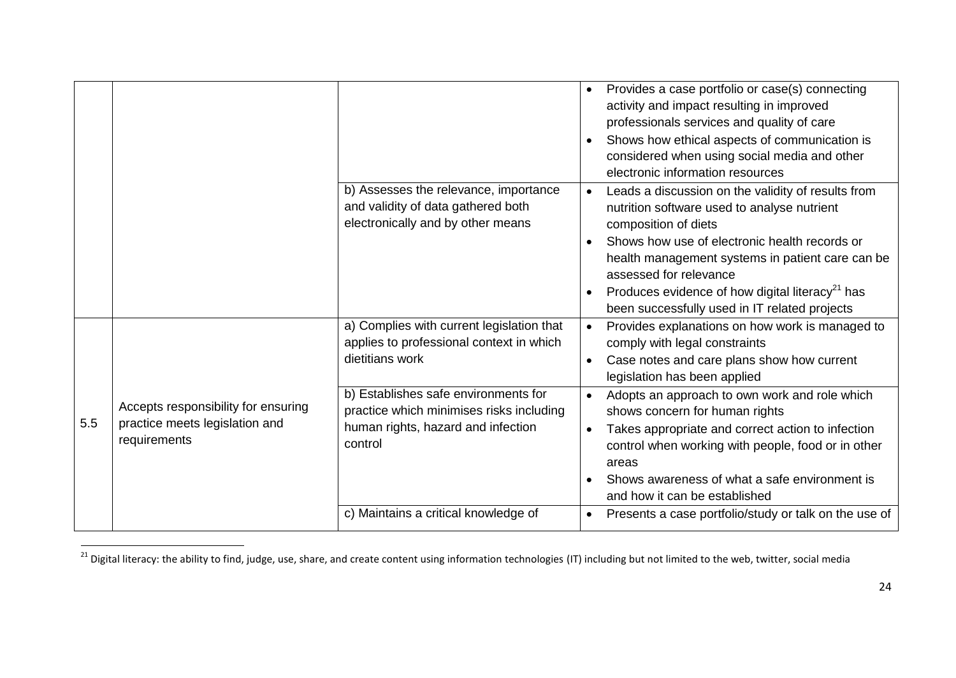|     |                                                                                       |                                                                                                                                   | Provides a case portfolio or case(s) connecting<br>$\bullet$<br>activity and impact resulting in improved<br>professionals services and quality of care<br>Shows how ethical aspects of communication is<br>considered when using social media and other<br>electronic information resources                                                                                          |
|-----|---------------------------------------------------------------------------------------|-----------------------------------------------------------------------------------------------------------------------------------|---------------------------------------------------------------------------------------------------------------------------------------------------------------------------------------------------------------------------------------------------------------------------------------------------------------------------------------------------------------------------------------|
|     |                                                                                       | b) Assesses the relevance, importance<br>and validity of data gathered both<br>electronically and by other means                  | Leads a discussion on the validity of results from<br>$\bullet$<br>nutrition software used to analyse nutrient<br>composition of diets<br>Shows how use of electronic health records or<br>health management systems in patient care can be<br>assessed for relevance<br>Produces evidence of how digital literacy <sup>21</sup> has<br>been successfully used in IT related projects |
|     |                                                                                       | a) Complies with current legislation that<br>applies to professional context in which<br>dietitians work                          | Provides explanations on how work is managed to<br>$\bullet$<br>comply with legal constraints<br>Case notes and care plans show how current<br>$\bullet$<br>legislation has been applied                                                                                                                                                                                              |
| 5.5 | Accepts responsibility for ensuring<br>practice meets legislation and<br>requirements | b) Establishes safe environments for<br>practice which minimises risks including<br>human rights, hazard and infection<br>control | Adopts an approach to own work and role which<br>shows concern for human rights<br>Takes appropriate and correct action to infection<br>$\bullet$<br>control when working with people, food or in other<br>areas<br>Shows awareness of what a safe environment is<br>and how it can be established                                                                                    |
|     |                                                                                       | c) Maintains a critical knowledge of                                                                                              | Presents a case portfolio/study or talk on the use of<br>$\bullet$                                                                                                                                                                                                                                                                                                                    |

 $^{21}$  Digital literacy: the ability to find, judge, use, share, and create content using information technologies (IT) including but not limited to the web, twitter, social media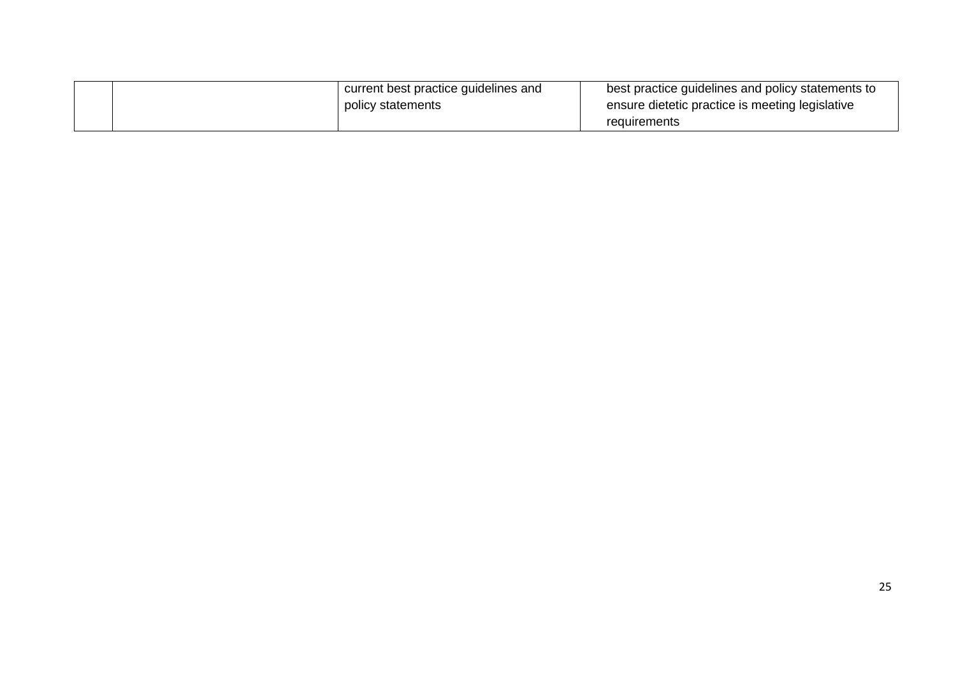| current best practice guidelines and | best practice guidelines and policy statements to               |
|--------------------------------------|-----------------------------------------------------------------|
| policy statements                    | ensure dietetic practice is meeting legislative<br>requirements |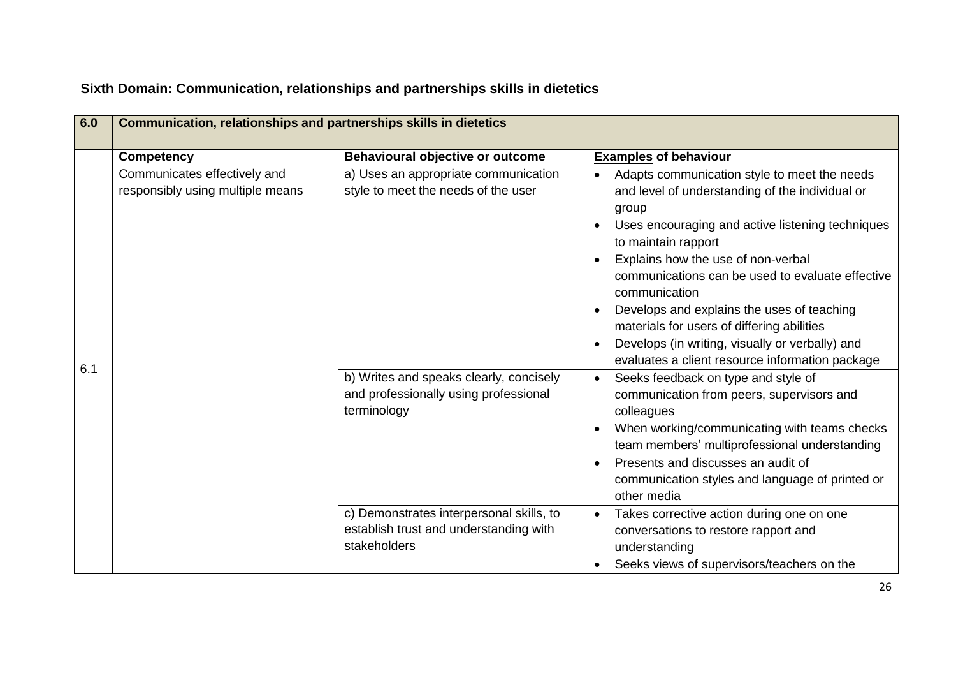| 6.0 | Communication, relationships and partnerships skills in dietetics |                                                                                                                                                                                |                                                                                                                                                                                                                                                                                                                                                                                                                                                                                                                                                                                                                                                                                                                                                                                                                          |  |
|-----|-------------------------------------------------------------------|--------------------------------------------------------------------------------------------------------------------------------------------------------------------------------|--------------------------------------------------------------------------------------------------------------------------------------------------------------------------------------------------------------------------------------------------------------------------------------------------------------------------------------------------------------------------------------------------------------------------------------------------------------------------------------------------------------------------------------------------------------------------------------------------------------------------------------------------------------------------------------------------------------------------------------------------------------------------------------------------------------------------|--|
|     | <b>Competency</b>                                                 | Behavioural objective or outcome                                                                                                                                               | <b>Examples of behaviour</b>                                                                                                                                                                                                                                                                                                                                                                                                                                                                                                                                                                                                                                                                                                                                                                                             |  |
| 6.1 | Communicates effectively and<br>responsibly using multiple means  | a) Uses an appropriate communication<br>style to meet the needs of the user<br>b) Writes and speaks clearly, concisely<br>and professionally using professional<br>terminology | Adapts communication style to meet the needs<br>$\bullet$<br>and level of understanding of the individual or<br>group<br>Uses encouraging and active listening techniques<br>to maintain rapport<br>Explains how the use of non-verbal<br>communications can be used to evaluate effective<br>communication<br>Develops and explains the uses of teaching<br>materials for users of differing abilities<br>Develops (in writing, visually or verbally) and<br>evaluates a client resource information package<br>Seeks feedback on type and style of<br>communication from peers, supervisors and<br>colleagues<br>When working/communicating with teams checks<br>team members' multiprofessional understanding<br>Presents and discusses an audit of<br>communication styles and language of printed or<br>other media |  |
|     |                                                                   | c) Demonstrates interpersonal skills, to<br>establish trust and understanding with<br>stakeholders                                                                             | Takes corrective action during one on one<br>conversations to restore rapport and<br>understanding<br>Seeks views of supervisors/teachers on the                                                                                                                                                                                                                                                                                                                                                                                                                                                                                                                                                                                                                                                                         |  |

## **Sixth Domain: Communication, relationships and partnerships skills in dietetics**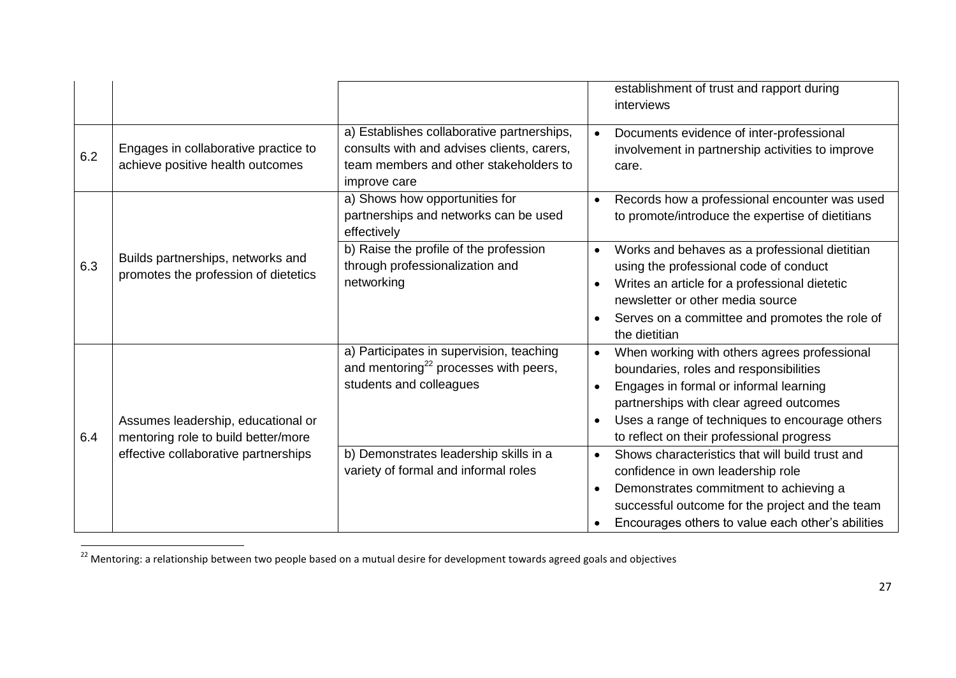|     |                                                                           |                                                                                                                                                    |                                     | establishment of trust and rapport during<br>interviews                                                                                                                                                                                                                    |
|-----|---------------------------------------------------------------------------|----------------------------------------------------------------------------------------------------------------------------------------------------|-------------------------------------|----------------------------------------------------------------------------------------------------------------------------------------------------------------------------------------------------------------------------------------------------------------------------|
| 6.2 | Engages in collaborative practice to<br>achieve positive health outcomes  | a) Establishes collaborative partnerships,<br>consults with and advises clients, carers,<br>team members and other stakeholders to<br>improve care |                                     | Documents evidence of inter-professional<br>involvement in partnership activities to improve<br>care.                                                                                                                                                                      |
|     |                                                                           | a) Shows how opportunities for<br>partnerships and networks can be used<br>effectively                                                             | $\bullet$                           | Records how a professional encounter was used<br>to promote/introduce the expertise of dietitians                                                                                                                                                                          |
| 6.3 | Builds partnerships, networks and<br>promotes the profession of dietetics | b) Raise the profile of the profession<br>through professionalization and<br>networking                                                            | $\bullet$<br>$\bullet$<br>$\bullet$ | Works and behaves as a professional dietitian<br>using the professional code of conduct<br>Writes an article for a professional dietetic<br>newsletter or other media source<br>Serves on a committee and promotes the role of<br>the dietitian                            |
| 6.4 | Assumes leadership, educational or<br>mentoring role to build better/more | a) Participates in supervision, teaching<br>and mentoring <sup>22</sup> processes with peers,<br>students and colleagues                           | $\bullet$<br>$\bullet$<br>$\bullet$ | When working with others agrees professional<br>boundaries, roles and responsibilities<br>Engages in formal or informal learning<br>partnerships with clear agreed outcomes<br>Uses a range of techniques to encourage others<br>to reflect on their professional progress |
|     | effective collaborative partnerships                                      | b) Demonstrates leadership skills in a<br>variety of formal and informal roles                                                                     | $\bullet$<br>$\bullet$<br>$\bullet$ | Shows characteristics that will build trust and<br>confidence in own leadership role<br>Demonstrates commitment to achieving a<br>successful outcome for the project and the team<br>Encourages others to value each other's abilities                                     |

 $^{22}$  Mentoring: a relationship between two people based on a mutual desire for development towards agreed goals and objectives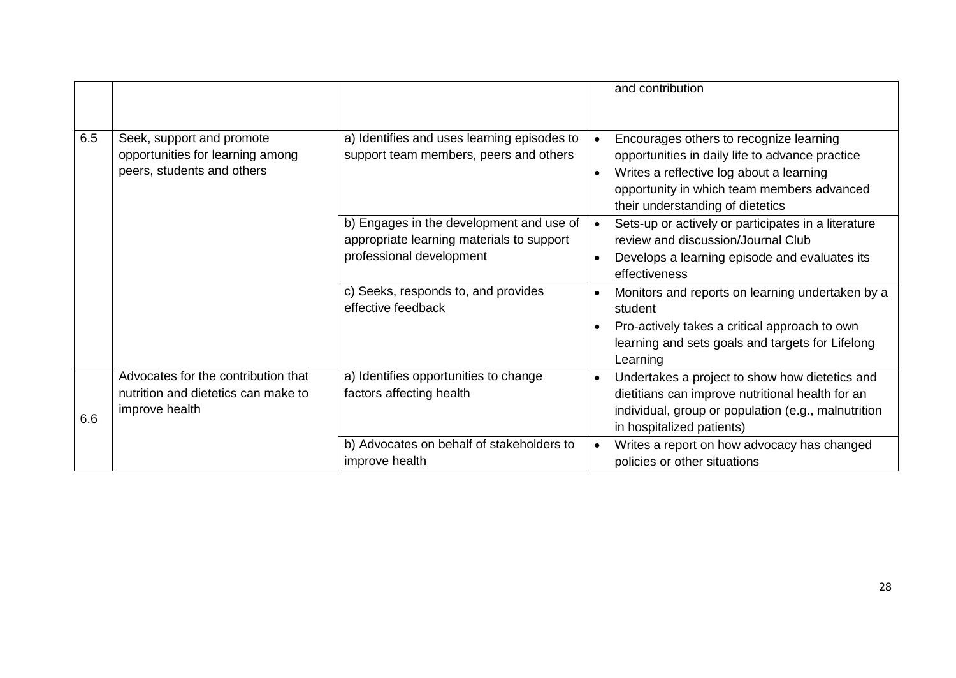|     |                                                                                              |                                                                                                                   | and contribution                                                                                                                                                                                                                      |
|-----|----------------------------------------------------------------------------------------------|-------------------------------------------------------------------------------------------------------------------|---------------------------------------------------------------------------------------------------------------------------------------------------------------------------------------------------------------------------------------|
| 6.5 | Seek, support and promote<br>opportunities for learning among<br>peers, students and others  | a) Identifies and uses learning episodes to<br>support team members, peers and others                             | Encourages others to recognize learning<br>opportunities in daily life to advance practice<br>Writes a reflective log about a learning<br>$\bullet$<br>opportunity in which team members advanced<br>their understanding of dietetics |
|     |                                                                                              | b) Engages in the development and use of<br>appropriate learning materials to support<br>professional development | Sets-up or actively or participates in a literature<br>review and discussion/Journal Club<br>Develops a learning episode and evaluates its<br>effectiveness                                                                           |
|     |                                                                                              | c) Seeks, responds to, and provides<br>effective feedback                                                         | Monitors and reports on learning undertaken by a<br>$\bullet$<br>student<br>Pro-actively takes a critical approach to own<br>learning and sets goals and targets for Lifelong<br>Learning                                             |
| 6.6 | Advocates for the contribution that<br>nutrition and dietetics can make to<br>improve health | a) Identifies opportunities to change<br>factors affecting health                                                 | Undertakes a project to show how dietetics and<br>dietitians can improve nutritional health for an<br>individual, group or population (e.g., malnutrition<br>in hospitalized patients)                                                |
|     |                                                                                              | b) Advocates on behalf of stakeholders to<br>improve health                                                       | Writes a report on how advocacy has changed<br>$\bullet$<br>policies or other situations                                                                                                                                              |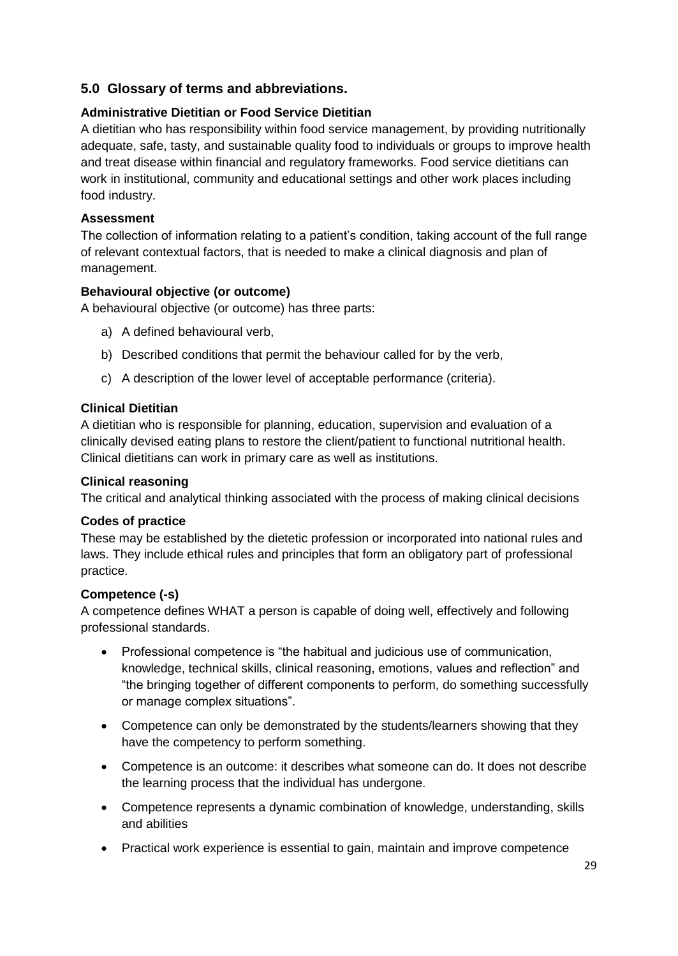#### **5.0 Glossary of terms and abbreviations.**

#### **Administrative Dietitian or Food Service Dietitian**

A dietitian who has responsibility within food service management, by providing nutritionally adequate, safe, tasty, and sustainable quality food to individuals or groups to improve health and treat disease within financial and regulatory frameworks. Food service dietitians can work in institutional, community and educational settings and other work places including food industry.

#### **Assessment**

The collection of information relating to a patient"s condition, taking account of the full range of relevant contextual factors, that is needed to make a clinical diagnosis and plan of management.

#### **Behavioural objective (or outcome)**

A behavioural objective (or outcome) has three parts:

- a) A defined behavioural verb,
- b) Described conditions that permit the behaviour called for by the verb,
- c) A description of the lower level of acceptable performance (criteria).

#### **Clinical Dietitian**

A dietitian who is responsible for planning, education, supervision and evaluation of a clinically devised eating plans to restore the client/patient to functional nutritional health. Clinical dietitians can work in primary care as well as institutions.

#### **Clinical reasoning**

The critical and analytical thinking associated with the process of making clinical decisions

#### **Codes of practice**

These may be established by the dietetic profession or incorporated into national rules and laws. They include ethical rules and principles that form an obligatory part of professional practice.

#### **Competence (-s)**

A competence defines WHAT a person is capable of doing well, effectively and following professional standards.

- Professional competence is "the habitual and judicious use of communication, knowledge, technical skills, clinical reasoning, emotions, values and reflection" and "the bringing together of different components to perform, do something successfully or manage complex situations".
- Competence can only be demonstrated by the students/learners showing that they have the competency to perform something.
- Competence is an outcome: it describes what someone can do. It does not describe the learning process that the individual has undergone.
- Competence represents a dynamic combination of knowledge, understanding, skills and abilities
- Practical work experience is essential to gain, maintain and improve competence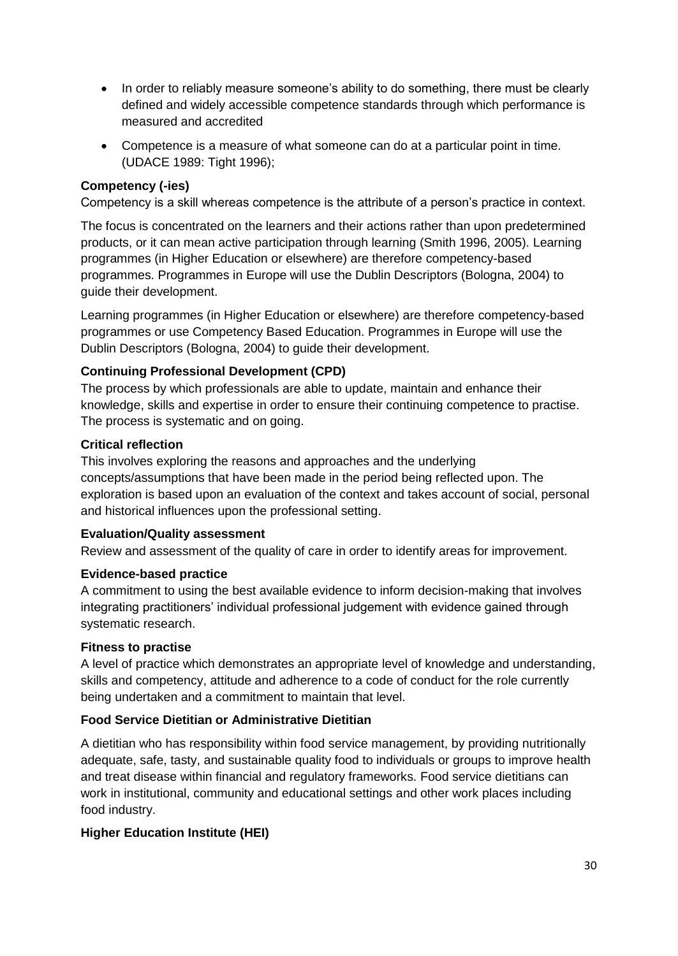- In order to reliably measure someone's ability to do something, there must be clearly defined and widely accessible competence standards through which performance is measured and accredited
- Competence is a measure of what someone can do at a particular point in time. (UDACE 1989: Tight 1996);

#### **Competency (-ies)**

Competency is a skill whereas competence is the attribute of a person"s practice in context.

The focus is concentrated on the learners and their actions rather than upon predetermined products, or it can mean active participation through learning (Smith 1996, 2005). Learning programmes (in Higher Education or elsewhere) are therefore competency-based programmes. Programmes in Europe will use the Dublin Descriptors (Bologna, 2004) to guide their development.

Learning programmes (in Higher Education or elsewhere) are therefore competency-based programmes or use Competency Based Education. Programmes in Europe will use the Dublin Descriptors (Bologna, 2004) to guide their development.

#### **Continuing Professional Development (CPD)**

The process by which professionals are able to update, maintain and enhance their knowledge, skills and expertise in order to ensure their continuing competence to practise. The process is systematic and on going.

#### **Critical reflection**

This involves exploring the reasons and approaches and the underlying concepts/assumptions that have been made in the period being reflected upon. The exploration is based upon an evaluation of the context and takes account of social, personal and historical influences upon the professional setting.

#### **Evaluation/Quality assessment**

Review and assessment of the quality of care in order to identify areas for improvement.

#### **Evidence-based practice**

A commitment to using the best available evidence to inform decision-making that involves integrating practitioners" individual professional judgement with evidence gained through systematic research.

#### **Fitness to practise**

A level of practice which demonstrates an appropriate level of knowledge and understanding, skills and competency, attitude and adherence to a code of conduct for the role currently being undertaken and a commitment to maintain that level.

#### **Food Service Dietitian or Administrative Dietitian**

A dietitian who has responsibility within food service management, by providing nutritionally adequate, safe, tasty, and sustainable quality food to individuals or groups to improve health and treat disease within financial and regulatory frameworks. Food service dietitians can work in institutional, community and educational settings and other work places including food industry.

#### **Higher Education Institute (HEI)**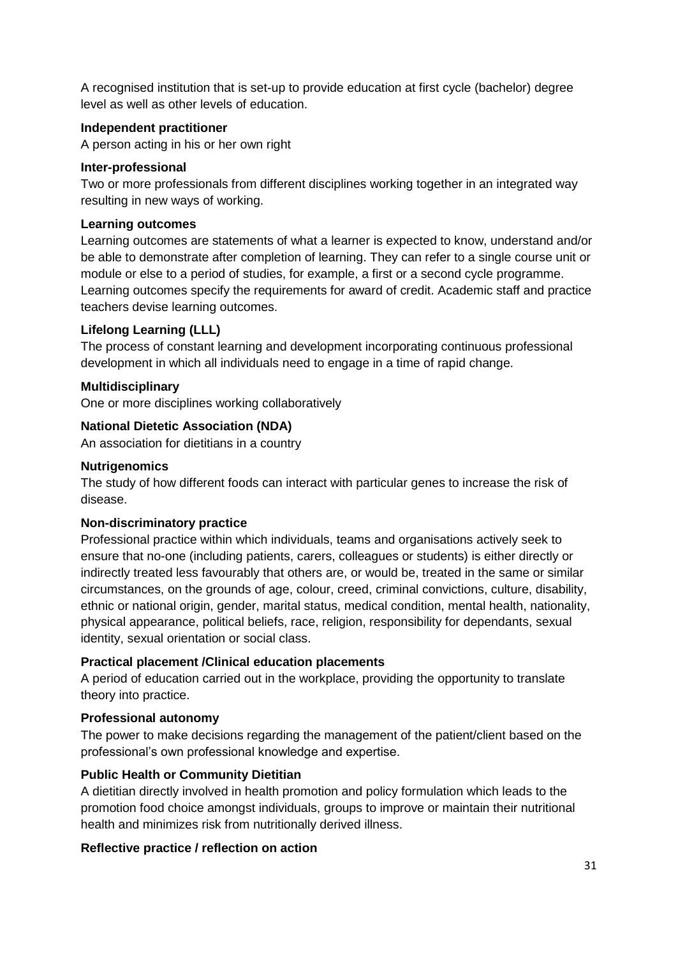A recognised institution that is set-up to provide education at first cycle (bachelor) degree level as well as other levels of education.

#### **Independent practitioner**

A person acting in his or her own right

#### **Inter-professional**

Two or more professionals from different disciplines working together in an integrated way resulting in new ways of working.

#### **Learning outcomes**

Learning outcomes are statements of what a learner is expected to know, understand and/or be able to demonstrate after completion of learning. They can refer to a single course unit or module or else to a period of studies, for example, a first or a second cycle programme. Learning outcomes specify the requirements for award of credit. Academic staff and practice teachers devise learning outcomes.

#### **Lifelong Learning (LLL)**

The process of constant learning and development incorporating continuous professional development in which all individuals need to engage in a time of rapid change.

#### **Multidisciplinary**

One or more disciplines working collaboratively

#### **National Dietetic Association (NDA)**

An association for dietitians in a country

#### **Nutrigenomics**

The study of how different foods can interact with particular genes to increase the risk of disease.

#### **Non-discriminatory practice**

Professional practice within which individuals, teams and organisations actively seek to ensure that no-one (including patients, carers, colleagues or students) is either directly or indirectly treated less favourably that others are, or would be, treated in the same or similar circumstances, on the grounds of age, colour, creed, criminal convictions, culture, disability, ethnic or national origin, gender, marital status, medical condition, mental health, nationality, physical appearance, political beliefs, race, religion, responsibility for dependants, sexual identity, sexual orientation or social class.

#### **Practical placement /Clinical education placements**

A period of education carried out in the workplace, providing the opportunity to translate theory into practice.

#### **Professional autonomy**

The power to make decisions regarding the management of the patient/client based on the professional"s own professional knowledge and expertise.

#### **Public Health or Community Dietitian**

A dietitian directly involved in health promotion and policy formulation which leads to the promotion food choice amongst individuals, groups to improve or maintain their nutritional health and minimizes risk from nutritionally derived illness.

#### **Reflective practice / reflection on action**